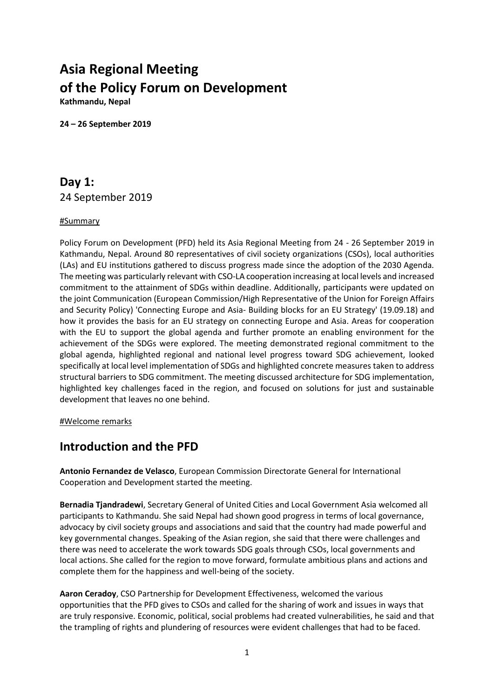# **Asia Regional Meeting of the Policy Forum on Development**

**Kathmandu, Nepal**

**24 – 26 September 2019**

# **Day 1:** 24 September 2019

### #Summary

Policy Forum on Development (PFD) held its Asia Regional Meeting from 24 - 26 September 2019 in Kathmandu, Nepal. Around 80 representatives of civil society organizations (CSOs), local authorities (LAs) and EU institutions gathered to discuss progress made since the adoption of the 2030 Agenda. The meeting was particularly relevant with CSO-LA cooperation increasing at local levels and increased commitment to the attainment of SDGs within deadline. Additionally, participants were updated on the joint Communication (European Commission/High Representative of the Union for Foreign Affairs and Security Policy) 'Connecting Europe and Asia- Building blocks for an EU Strategy' (19.09.18) and how it provides the basis for an EU strategy on connecting Europe and Asia. Areas for cooperation with the EU to support the global agenda and further promote an enabling environment for the achievement of the SDGs were explored. The meeting demonstrated regional commitment to the global agenda, highlighted regional and national level progress toward SDG achievement, looked specifically at local level implementation of SDGs and highlighted concrete measures taken to address structural barriers to SDG commitment. The meeting discussed architecture for SDG implementation, highlighted key challenges faced in the region, and focused on solutions for just and sustainable development that leaves no one behind.

#Welcome remarks

### **Introduction and the PFD**

**Antonio Fernandez de Velasco**, European Commission Directorate General for International Cooperation and Development started the meeting.

**Bernadia Tjandradewi**, Secretary General of United Cities and Local Government Asia welcomed all participants to Kathmandu. She said Nepal had shown good progress in terms of local governance, advocacy by civil society groups and associations and said that the country had made powerful and key governmental changes. Speaking of the Asian region, she said that there were challenges and there was need to accelerate the work towards SDG goals through CSOs, local governments and local actions. She called for the region to move forward, formulate ambitious plans and actions and complete them for the happiness and well-being of the society.

**Aaron Ceradoy**, CSO Partnership for Development Effectiveness, welcomed the various opportunities that the PFD gives to CSOs and called for the sharing of work and issues in ways that are truly responsive. Economic, political, social problems had created vulnerabilities, he said and that the trampling of rights and plundering of resources were evident challenges that had to be faced.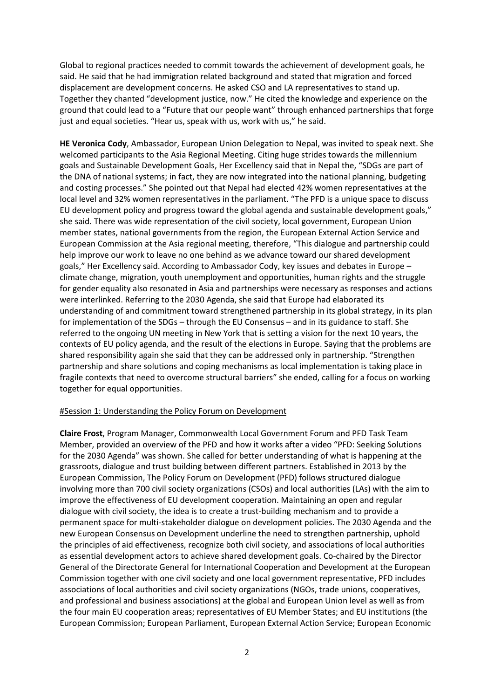Global to regional practices needed to commit towards the achievement of development goals, he said. He said that he had immigration related background and stated that migration and forced displacement are development concerns. He asked CSO and LA representatives to stand up. Together they chanted "development justice, now." He cited the knowledge and experience on the ground that could lead to a "Future that our people want" through enhanced partnerships that forge just and equal societies. "Hear us, speak with us, work with us," he said.

**HE Veronica Cody**, Ambassador, European Union Delegation to Nepal, was invited to speak next. She welcomed participants to the Asia Regional Meeting. Citing huge strides towards the millennium goals and Sustainable Development Goals, Her Excellency said that in Nepal the, "SDGs are part of the DNA of national systems; in fact, they are now integrated into the national planning, budgeting and costing processes." She pointed out that Nepal had elected 42% women representatives at the local level and 32% women representatives in the parliament. "The PFD is a unique space to discuss EU development policy and progress toward the global agenda and sustainable development goals," she said. There was wide representation of the civil society, local government, European Union member states, national governments from the region, the European External Action Service and European Commission at the Asia regional meeting, therefore, "This dialogue and partnership could help improve our work to leave no one behind as we advance toward our shared development goals," Her Excellency said. According to Ambassador Cody, key issues and debates in Europe – climate change, migration, youth unemployment and opportunities, human rights and the struggle for gender equality also resonated in Asia and partnerships were necessary as responses and actions were interlinked. Referring to the 2030 Agenda, she said that Europe had elaborated its understanding of and commitment toward strengthened partnership in its global strategy, in its plan for implementation of the SDGs – through the EU Consensus – and in its guidance to staff. She referred to the ongoing UN meeting in New York that is setting a vision for the next 10 years, the contexts of EU policy agenda, and the result of the elections in Europe. Saying that the problems are shared responsibility again she said that they can be addressed only in partnership. "Strengthen partnership and share solutions and coping mechanisms as local implementation is taking place in fragile contexts that need to overcome structural barriers" she ended, calling for a focus on working together for equal opportunities.

#### #Session 1: Understanding the Policy Forum on Development

**Claire Frost**, Program Manager, Commonwealth Local Government Forum and PFD Task Team Member, provided an overview of the PFD and how it works after a video "PFD: Seeking Solutions for the 2030 Agenda" was shown. She called for better understanding of what is happening at the grassroots, dialogue and trust building between different partners. Established in 2013 by the European Commission, The Policy Forum on Development (PFD) follows structured dialogue involving more than 700 civil society organizations (CSOs) and local authorities (LAs) with the aim to improve the effectiveness of EU development cooperation. Maintaining an open and regular dialogue with civil society, the idea is to create a trust-building mechanism and to provide a permanent space for multi-stakeholder dialogue on development policies. The 2030 Agenda and the new European Consensus on Development underline the need to strengthen partnership, uphold the principles of aid effectiveness, recognize both civil society, and associations of local authorities as essential development actors to achieve shared development goals. Co-chaired by the Director General of the Directorate General for International Cooperation and Development at the European Commission together with one civil society and one local government representative, PFD includes associations of local authorities and civil society organizations (NGOs, trade unions, cooperatives, and professional and business associations) at the global and European Union level as well as from the four main EU cooperation areas; representatives of EU Member States; and EU institutions (the European Commission; European Parliament, European External Action Service; European Economic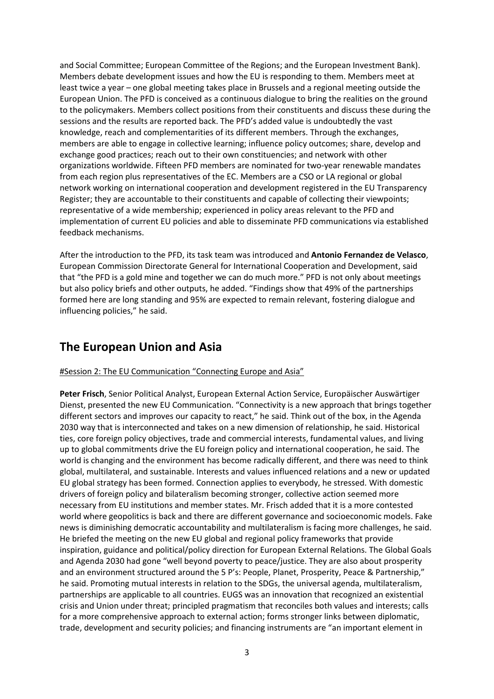and Social Committee; European Committee of the Regions; and the European Investment Bank). Members debate development issues and how the EU is responding to them. Members meet at least twice a year – one global meeting takes place in Brussels and a regional meeting outside the European Union. The PFD is conceived as a continuous dialogue to bring the realities on the ground to the policymakers. Members collect positions from their constituents and discuss these during the sessions and the results are reported back. The PFD's added value is undoubtedly the vast knowledge, reach and complementarities of its different members. Through the exchanges, members are able to engage in collective learning; influence policy outcomes; share, develop and exchange good practices; reach out to their own constituencies; and network with other organizations worldwide. Fifteen PFD members are nominated for two-year renewable mandates from each region plus representatives of the EC. Members are a CSO or LA regional or global network working on international cooperation and development registered in the EU Transparency Register; they are accountable to their constituents and capable of collecting their viewpoints; representative of a wide membership; experienced in policy areas relevant to the PFD and implementation of current EU policies and able to disseminate PFD communications via established feedback mechanisms.

After the introduction to the PFD, its task team was introduced and **Antonio Fernandez de Velasco**, European Commission Directorate General for International Cooperation and Development, said that "the PFD is a gold mine and together we can do much more." PFD is not only about meetings but also policy briefs and other outputs, he added. "Findings show that 49% of the partnerships formed here are long standing and 95% are expected to remain relevant, fostering dialogue and influencing policies," he said.

## **The European Union and Asia**

### #Session 2: The EU Communication "Connecting Europe and Asia"

**Peter Frisch**, Senior Political Analyst, European External Action Service, Europäischer Auswärtiger Dienst, presented the new EU Communication. "Connectivity is a new approach that brings together different sectors and improves our capacity to react," he said. Think out of the box, in the Agenda 2030 way that is interconnected and takes on a new dimension of relationship, he said. Historical ties, core foreign policy objectives, trade and commercial interests, fundamental values, and living up to global commitments drive the EU foreign policy and international cooperation, he said. The world is changing and the environment has become radically different, and there was need to think global, multilateral, and sustainable. Interests and values influenced relations and a new or updated EU global strategy has been formed. Connection applies to everybody, he stressed. With domestic drivers of foreign policy and bilateralism becoming stronger, collective action seemed more necessary from EU institutions and member states. Mr. Frisch added that it is a more contested world where geopolitics is back and there are different governance and socioeconomic models. Fake news is diminishing democratic accountability and multilateralism is facing more challenges, he said. He briefed the meeting on the new EU global and regional policy frameworks that provide inspiration, guidance and political/policy direction for European External Relations. The Global Goals and Agenda 2030 had gone "well beyond poverty to peace/justice. They are also about prosperity and an environment structured around the 5 P's: People, Planet, Prosperity, Peace & Partnership," he said. Promoting mutual interests in relation to the SDGs, the universal agenda, multilateralism, partnerships are applicable to all countries. EUGS was an innovation that recognized an existential crisis and Union under threat; principled pragmatism that reconciles both values and interests; calls for a more comprehensive approach to external action; forms stronger links between diplomatic, trade, development and security policies; and financing instruments are "an important element in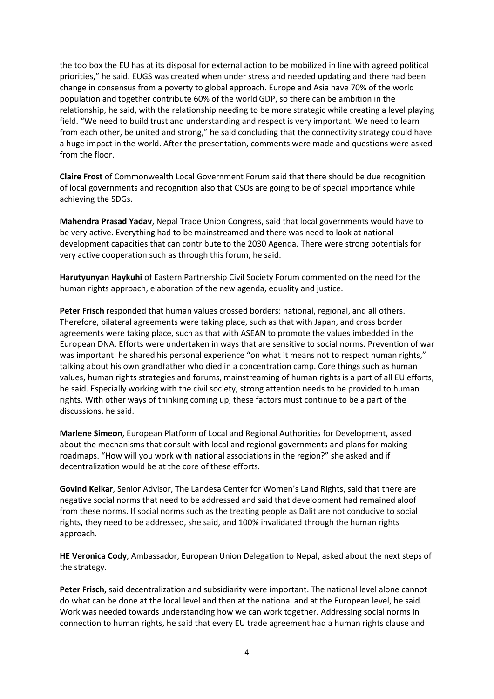the toolbox the EU has at its disposal for external action to be mobilized in line with agreed political priorities," he said. EUGS was created when under stress and needed updating and there had been change in consensus from a poverty to global approach. Europe and Asia have 70% of the world population and together contribute 60% of the world GDP, so there can be ambition in the relationship, he said, with the relationship needing to be more strategic while creating a level playing field. "We need to build trust and understanding and respect is very important. We need to learn from each other, be united and strong," he said concluding that the connectivity strategy could have a huge impact in the world. After the presentation, comments were made and questions were asked from the floor.

**Claire Frost** of Commonwealth Local Government Forum said that there should be due recognition of local governments and recognition also that CSOs are going to be of special importance while achieving the SDGs.

**Mahendra Prasad Yadav**, Nepal Trade Union Congress, said that local governments would have to be very active. Everything had to be mainstreamed and there was need to look at national development capacities that can contribute to the 2030 Agenda. There were strong potentials for very active cooperation such as through this forum, he said.

**Harutyunyan Haykuhi** of Eastern Partnership Civil Society Forum commented on the need for the human rights approach, elaboration of the new agenda, equality and justice.

**Peter Frisch** responded that human values crossed borders: national, regional, and all others. Therefore, bilateral agreements were taking place, such as that with Japan, and cross border agreements were taking place, such as that with ASEAN to promote the values imbedded in the European DNA. Efforts were undertaken in ways that are sensitive to social norms. Prevention of war was important: he shared his personal experience "on what it means not to respect human rights," talking about his own grandfather who died in a concentration camp. Core things such as human values, human rights strategies and forums, mainstreaming of human rights is a part of all EU efforts, he said. Especially working with the civil society, strong attention needs to be provided to human rights. With other ways of thinking coming up, these factors must continue to be a part of the discussions, he said.

**Marlene Simeon**, European Platform of Local and Regional Authorities for Development, asked about the mechanisms that consult with local and regional governments and plans for making roadmaps. "How will you work with national associations in the region?" she asked and if decentralization would be at the core of these efforts.

**Govind Kelkar**, Senior Advisor, The Landesa Center for Women's Land Rights, said that there are negative social norms that need to be addressed and said that development had remained aloof from these norms. If social norms such as the treating people as Dalit are not conducive to social rights, they need to be addressed, she said, and 100% invalidated through the human rights approach.

**HE Veronica Cody**, Ambassador, European Union Delegation to Nepal, asked about the next steps of the strategy.

**Peter Frisch,** said decentralization and subsidiarity were important. The national level alone cannot do what can be done at the local level and then at the national and at the European level, he said. Work was needed towards understanding how we can work together. Addressing social norms in connection to human rights, he said that every EU trade agreement had a human rights clause and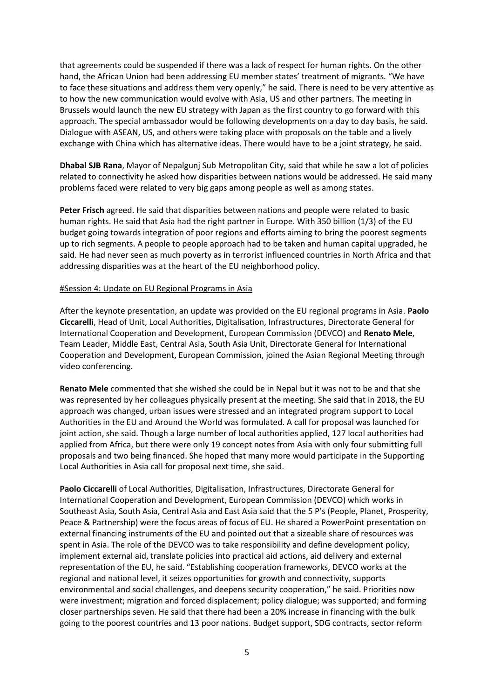that agreements could be suspended if there was a lack of respect for human rights. On the other hand, the African Union had been addressing EU member states' treatment of migrants. "We have to face these situations and address them very openly," he said. There is need to be very attentive as to how the new communication would evolve with Asia, US and other partners. The meeting in Brussels would launch the new EU strategy with Japan as the first country to go forward with this approach. The special ambassador would be following developments on a day to day basis, he said. Dialogue with ASEAN, US, and others were taking place with proposals on the table and a lively exchange with China which has alternative ideas. There would have to be a joint strategy, he said.

**Dhabal SJB Rana**, Mayor of Nepalgunj Sub Metropolitan City, said that while he saw a lot of policies related to connectivity he asked how disparities between nations would be addressed. He said many problems faced were related to very big gaps among people as well as among states.

**Peter Frisch** agreed. He said that disparities between nations and people were related to basic human rights. He said that Asia had the right partner in Europe. With 350 billion (1/3) of the EU budget going towards integration of poor regions and efforts aiming to bring the poorest segments up to rich segments. A people to people approach had to be taken and human capital upgraded, he said. He had never seen as much poverty as in terrorist influenced countries in North Africa and that addressing disparities was at the heart of the EU neighborhood policy.

#### #Session 4: Update on EU Regional Programs in Asia

After the keynote presentation, an update was provided on the EU regional programs in Asia. **Paolo Ciccarelli**, Head of Unit, Local Authorities, Digitalisation, Infrastructures, Directorate General for International Cooperation and Development, European Commission (DEVCO) and **Renato Mele**, Team Leader, Middle East, Central Asia, South Asia Unit, Directorate General for International Cooperation and Development, European Commission, joined the Asian Regional Meeting through video conferencing.

**Renato Mele** commented that she wished she could be in Nepal but it was not to be and that she was represented by her colleagues physically present at the meeting. She said that in 2018, the EU approach was changed, urban issues were stressed and an integrated program support to Local Authorities in the EU and Around the World was formulated. A call for proposal was launched for joint action, she said. Though a large number of local authorities applied, 127 local authorities had applied from Africa, but there were only 19 concept notes from Asia with only four submitting full proposals and two being financed. She hoped that many more would participate in the Supporting Local Authorities in Asia call for proposal next time, she said.

**Paolo Ciccarelli** of Local Authorities, Digitalisation, Infrastructures, Directorate General for International Cooperation and Development, European Commission (DEVCO) which works in Southeast Asia, South Asia, Central Asia and East Asia said that the 5 P's (People, Planet, Prosperity, Peace & Partnership) were the focus areas of focus of EU. He shared a PowerPoint presentation on external financing instruments of the EU and pointed out that a sizeable share of resources was spent in Asia. The role of the DEVCO was to take responsibility and define development policy, implement external aid, translate policies into practical aid actions, aid delivery and external representation of the EU, he said. "Establishing cooperation frameworks, DEVCO works at the regional and national level, it seizes opportunities for growth and connectivity, supports environmental and social challenges, and deepens security cooperation," he said. Priorities now were investment; migration and forced displacement; policy dialogue; was supported; and forming closer partnerships seven. He said that there had been a 20% increase in financing with the bulk going to the poorest countries and 13 poor nations. Budget support, SDG contracts, sector reform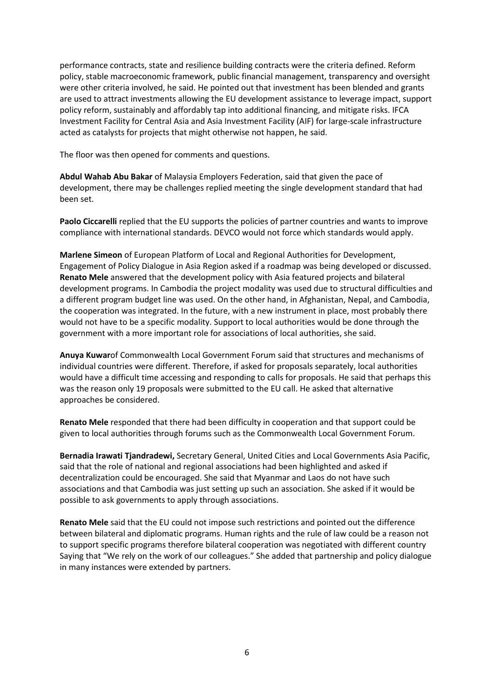performance contracts, state and resilience building contracts were the criteria defined. Reform policy, stable macroeconomic framework, public financial management, transparency and oversight were other criteria involved, he said. He pointed out that investment has been blended and grants are used to attract investments allowing the EU development assistance to leverage impact, support policy reform, sustainably and affordably tap into additional financing, and mitigate risks. IFCA Investment Facility for Central Asia and Asia Investment Facility (AIF) for large-scale infrastructure acted as catalysts for projects that might otherwise not happen, he said.

The floor was then opened for comments and questions.

**Abdul Wahab Abu Bakar** of Malaysia Employers Federation, said that given the pace of development, there may be challenges replied meeting the single development standard that had been set.

**Paolo Ciccarelli** replied that the EU supports the policies of partner countries and wants to improve compliance with international standards. DEVCO would not force which standards would apply.

**Marlene Simeon** of European Platform of Local and Regional Authorities for Development, Engagement of Policy Dialogue in Asia Region asked if a roadmap was being developed or discussed. **Renato Mele** answered that the development policy with Asia featured projects and bilateral development programs. In Cambodia the project modality was used due to structural difficulties and a different program budget line was used. On the other hand, in Afghanistan, Nepal, and Cambodia, the cooperation was integrated. In the future, with a new instrument in place, most probably there would not have to be a specific modality. Support to local authorities would be done through the government with a more important role for associations of local authorities, she said.

**Anuya Kuwar**of Commonwealth Local Government Forum said that structures and mechanisms of individual countries were different. Therefore, if asked for proposals separately, local authorities would have a difficult time accessing and responding to calls for proposals. He said that perhaps this was the reason only 19 proposals were submitted to the EU call. He asked that alternative approaches be considered.

**Renato Mele** responded that there had been difficulty in cooperation and that support could be given to local authorities through forums such as the Commonwealth Local Government Forum.

**Bernadia Irawati Tjandradewi,** Secretary General, United Cities and Local Governments Asia Pacific, said that the role of national and regional associations had been highlighted and asked if decentralization could be encouraged. She said that Myanmar and Laos do not have such associations and that Cambodia was just setting up such an association. She asked if it would be possible to ask governments to apply through associations.

**Renato Mele** said that the EU could not impose such restrictions and pointed out the difference between bilateral and diplomatic programs. Human rights and the rule of law could be a reason not to support specific programs therefore bilateral cooperation was negotiated with different country Saying that "We rely on the work of our colleagues." She added that partnership and policy dialogue in many instances were extended by partners.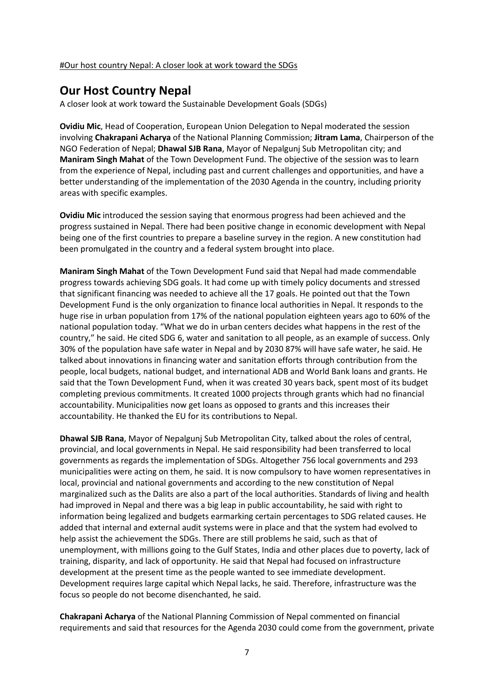#### #Our host country Nepal: A closer look at work toward the SDGs

### **Our Host Country Nepal**

A closer look at work toward the Sustainable Development Goals (SDGs)

**Ovidiu Mic**, Head of Cooperation, European Union Delegation to Nepal moderated the session involving **Chakrapani Acharya** of the National Planning Commission; **Jitram Lama**, Chairperson of the NGO Federation of Nepal; **Dhawal SJB Rana**, Mayor of Nepalgunj Sub Metropolitan city; and **Maniram Singh Mahat** of the Town Development Fund. The objective of the session was to learn from the experience of Nepal, including past and current challenges and opportunities, and have a better understanding of the implementation of the 2030 Agenda in the country, including priority areas with specific examples.

**Ovidiu Mic** introduced the session saying that enormous progress had been achieved and the progress sustained in Nepal. There had been positive change in economic development with Nepal being one of the first countries to prepare a baseline survey in the region. A new constitution had been promulgated in the country and a federal system brought into place.

**Maniram Singh Mahat** of the Town Development Fund said that Nepal had made commendable progress towards achieving SDG goals. It had come up with timely policy documents and stressed that significant financing was needed to achieve all the 17 goals. He pointed out that the Town Development Fund is the only organization to finance local authorities in Nepal. It responds to the huge rise in urban population from 17% of the national population eighteen years ago to 60% of the national population today. "What we do in urban centers decides what happens in the rest of the country," he said. He cited SDG 6, water and sanitation to all people, as an example of success. Only 30% of the population have safe water in Nepal and by 2030 87% will have safe water, he said. He talked about innovations in financing water and sanitation efforts through contribution from the people, local budgets, national budget, and international ADB and World Bank loans and grants. He said that the Town Development Fund, when it was created 30 years back, spent most of its budget completing previous commitments. It created 1000 projects through grants which had no financial accountability. Municipalities now get loans as opposed to grants and this increases their accountability. He thanked the EU for its contributions to Nepal.

**Dhawal SJB Rana**, Mayor of Nepalgunj Sub Metropolitan City, talked about the roles of central, provincial, and local governments in Nepal. He said responsibility had been transferred to local governments as regards the implementation of SDGs. Altogether 756 local governments and 293 municipalities were acting on them, he said. It is now compulsory to have women representatives in local, provincial and national governments and according to the new constitution of Nepal marginalized such as the Dalits are also a part of the local authorities. Standards of living and health had improved in Nepal and there was a big leap in public accountability, he said with right to information being legalized and budgets earmarking certain percentages to SDG related causes. He added that internal and external audit systems were in place and that the system had evolved to help assist the achievement the SDGs. There are still problems he said, such as that of unemployment, with millions going to the Gulf States, India and other places due to poverty, lack of training, disparity, and lack of opportunity. He said that Nepal had focused on infrastructure development at the present time as the people wanted to see immediate development. Development requires large capital which Nepal lacks, he said. Therefore, infrastructure was the focus so people do not become disenchanted, he said.

**Chakrapani Acharya** of the National Planning Commission of Nepal commented on financial requirements and said that resources for the Agenda 2030 could come from the government, private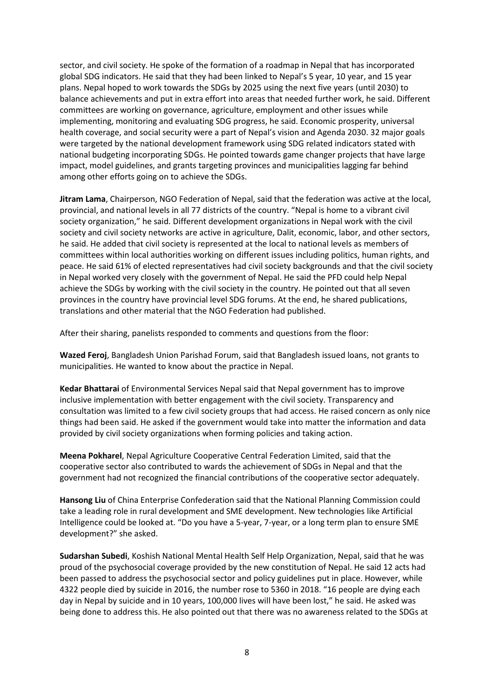sector, and civil society. He spoke of the formation of a roadmap in Nepal that has incorporated global SDG indicators. He said that they had been linked to Nepal's 5 year, 10 year, and 15 year plans. Nepal hoped to work towards the SDGs by 2025 using the next five years (until 2030) to balance achievements and put in extra effort into areas that needed further work, he said. Different committees are working on governance, agriculture, employment and other issues while implementing, monitoring and evaluating SDG progress, he said. Economic prosperity, universal health coverage, and social security were a part of Nepal's vision and Agenda 2030. 32 major goals were targeted by the national development framework using SDG related indicators stated with national budgeting incorporating SDGs. He pointed towards game changer projects that have large impact, model guidelines, and grants targeting provinces and municipalities lagging far behind among other efforts going on to achieve the SDGs.

**Jitram Lama**, Chairperson, NGO Federation of Nepal, said that the federation was active at the local, provincial, and national levels in all 77 districts of the country. "Nepal is home to a vibrant civil society organization," he said. Different development organizations in Nepal work with the civil society and civil society networks are active in agriculture, Dalit, economic, labor, and other sectors, he said. He added that civil society is represented at the local to national levels as members of committees within local authorities working on different issues including politics, human rights, and peace. He said 61% of elected representatives had civil society backgrounds and that the civil society in Nepal worked very closely with the government of Nepal. He said the PFD could help Nepal achieve the SDGs by working with the civil society in the country. He pointed out that all seven provinces in the country have provincial level SDG forums. At the end, he shared publications, translations and other material that the NGO Federation had published.

After their sharing, panelists responded to comments and questions from the floor:

**Wazed Feroj**, Bangladesh Union Parishad Forum, said that Bangladesh issued loans, not grants to municipalities. He wanted to know about the practice in Nepal.

**Kedar Bhattarai** of Environmental Services Nepal said that Nepal government has to improve inclusive implementation with better engagement with the civil society. Transparency and consultation was limited to a few civil society groups that had access. He raised concern as only nice things had been said. He asked if the government would take into matter the information and data provided by civil society organizations when forming policies and taking action.

**Meena Pokharel**, Nepal Agriculture Cooperative Central Federation Limited, said that the cooperative sector also contributed to wards the achievement of SDGs in Nepal and that the government had not recognized the financial contributions of the cooperative sector adequately.

**Hansong Liu** of China Enterprise Confederation said that the National Planning Commission could take a leading role in rural development and SME development. New technologies like Artificial Intelligence could be looked at. "Do you have a 5-year, 7-year, or a long term plan to ensure SME development?" she asked.

**Sudarshan Subedi**, Koshish National Mental Health Self Help Organization, Nepal, said that he was proud of the psychosocial coverage provided by the new constitution of Nepal. He said 12 acts had been passed to address the psychosocial sector and policy guidelines put in place. However, while 4322 people died by suicide in 2016, the number rose to 5360 in 2018. "16 people are dying each day in Nepal by suicide and in 10 years, 100,000 lives will have been lost," he said. He asked was being done to address this. He also pointed out that there was no awareness related to the SDGs at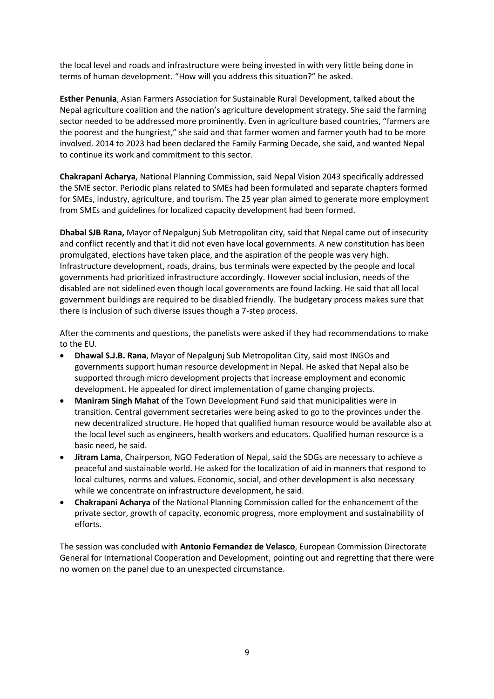the local level and roads and infrastructure were being invested in with very little being done in terms of human development. "How will you address this situation?" he asked.

**Esther Penunia**, Asian Farmers Association for Sustainable Rural Development, talked about the Nepal agriculture coalition and the nation's agriculture development strategy. She said the farming sector needed to be addressed more prominently. Even in agriculture based countries, "farmers are the poorest and the hungriest," she said and that farmer women and farmer youth had to be more involved. 2014 to 2023 had been declared the Family Farming Decade, she said, and wanted Nepal to continue its work and commitment to this sector.

**Chakrapani Acharya**, National Planning Commission, said Nepal Vision 2043 specifically addressed the SME sector. Periodic plans related to SMEs had been formulated and separate chapters formed for SMEs, industry, agriculture, and tourism. The 25 year plan aimed to generate more employment from SMEs and guidelines for localized capacity development had been formed.

**Dhabal SJB Rana,** Mayor of Nepalgunj Sub Metropolitan city, said that Nepal came out of insecurity and conflict recently and that it did not even have local governments. A new constitution has been promulgated, elections have taken place, and the aspiration of the people was very high. Infrastructure development, roads, drains, bus terminals were expected by the people and local governments had prioritized infrastructure accordingly. However social inclusion, needs of the disabled are not sidelined even though local governments are found lacking. He said that all local government buildings are required to be disabled friendly. The budgetary process makes sure that there is inclusion of such diverse issues though a 7-step process.

After the comments and questions, the panelists were asked if they had recommendations to make to the EU.

- **Dhawal S.J.B. Rana**, Mayor of Nepalgunj Sub Metropolitan City, said most INGOs and governments support human resource development in Nepal. He asked that Nepal also be supported through micro development projects that increase employment and economic development. He appealed for direct implementation of game changing projects.
- **Maniram Singh Mahat** of the Town Development Fund said that municipalities were in transition. Central government secretaries were being asked to go to the provinces under the new decentralized structure. He hoped that qualified human resource would be available also at the local level such as engineers, health workers and educators. Qualified human resource is a basic need, he said.
- **Jitram Lama**, Chairperson, NGO Federation of Nepal, said the SDGs are necessary to achieve a peaceful and sustainable world. He asked for the localization of aid in manners that respond to local cultures, norms and values. Economic, social, and other development is also necessary while we concentrate on infrastructure development, he said.
- **Chakrapani Acharya** of the National Planning Commission called for the enhancement of the private sector, growth of capacity, economic progress, more employment and sustainability of efforts.

The session was concluded with **Antonio Fernandez de Velasco**, European Commission Directorate General for International Cooperation and Development, pointing out and regretting that there were no women on the panel due to an unexpected circumstance.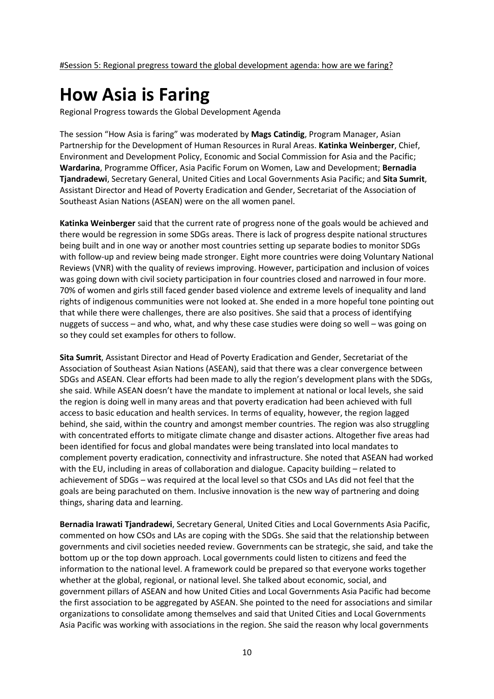# **How Asia is Faring**

Regional Progress towards the Global Development Agenda

The session "How Asia is faring" was moderated by **Mags Catindig**, Program Manager, Asian Partnership for the Development of Human Resources in Rural Areas. **Katinka Weinberger**, Chief, Environment and Development Policy, Economic and Social Commission for Asia and the Pacific; **Wardarina**, Programme Officer, Asia Pacific Forum on Women, Law and Development; **Bernadia Tjandradewi**, Secretary General, United Cities and Local Governments Asia Pacific; and **Sita Sumrit**, Assistant Director and Head of Poverty Eradication and Gender, Secretariat of the Association of Southeast Asian Nations (ASEAN) were on the all women panel.

**Katinka Weinberger** said that the current rate of progress none of the goals would be achieved and there would be regression in some SDGs areas. There is lack of progress despite national structures being built and in one way or another most countries setting up separate bodies to monitor SDGs with follow-up and review being made stronger. Eight more countries were doing Voluntary National Reviews (VNR) with the quality of reviews improving. However, participation and inclusion of voices was going down with civil society participation in four countries closed and narrowed in four more. 70% of women and girls still faced gender based violence and extreme levels of inequality and land rights of indigenous communities were not looked at. She ended in a more hopeful tone pointing out that while there were challenges, there are also positives. She said that a process of identifying nuggets of success – and who, what, and why these case studies were doing so well – was going on so they could set examples for others to follow.

**Sita Sumrit**, Assistant Director and Head of Poverty Eradication and Gender, Secretariat of the Association of Southeast Asian Nations (ASEAN), said that there was a clear convergence between SDGs and ASEAN. Clear efforts had been made to ally the region's development plans with the SDGs, she said. While ASEAN doesn't have the mandate to implement at national or local levels, she said the region is doing well in many areas and that poverty eradication had been achieved with full access to basic education and health services. In terms of equality, however, the region lagged behind, she said, within the country and amongst member countries. The region was also struggling with concentrated efforts to mitigate climate change and disaster actions. Altogether five areas had been identified for focus and global mandates were being translated into local mandates to complement poverty eradication, connectivity and infrastructure. She noted that ASEAN had worked with the EU, including in areas of collaboration and dialogue. Capacity building – related to achievement of SDGs – was required at the local level so that CSOs and LAs did not feel that the goals are being parachuted on them. Inclusive innovation is the new way of partnering and doing things, sharing data and learning.

**Bernadia Irawati Tjandradewi**, Secretary General, United Cities and Local Governments Asia Pacific, commented on how CSOs and LAs are coping with the SDGs. She said that the relationship between governments and civil societies needed review. Governments can be strategic, she said, and take the bottom up or the top down approach. Local governments could listen to citizens and feed the information to the national level. A framework could be prepared so that everyone works together whether at the global, regional, or national level. She talked about economic, social, and government pillars of ASEAN and how United Cities and Local Governments Asia Pacific had become the first association to be aggregated by ASEAN. She pointed to the need for associations and similar organizations to consolidate among themselves and said that United Cities and Local Governments Asia Pacific was working with associations in the region. She said the reason why local governments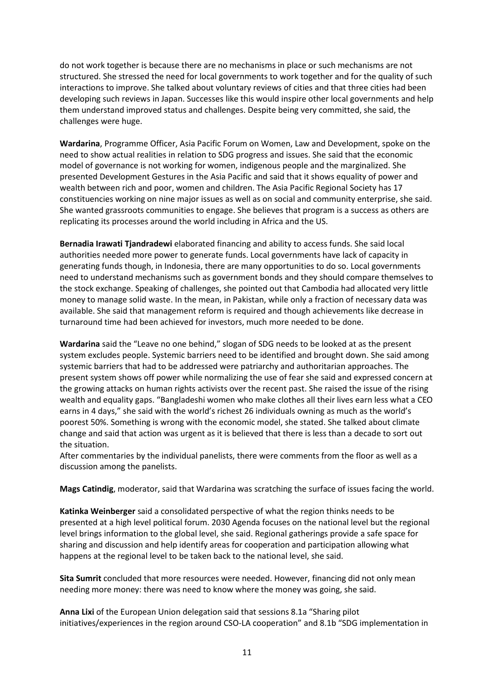do not work together is because there are no mechanisms in place or such mechanisms are not structured. She stressed the need for local governments to work together and for the quality of such interactions to improve. She talked about voluntary reviews of cities and that three cities had been developing such reviews in Japan. Successes like this would inspire other local governments and help them understand improved status and challenges. Despite being very committed, she said, the challenges were huge.

**Wardarina**, Programme Officer, Asia Pacific Forum on Women, Law and Development, spoke on the need to show actual realities in relation to SDG progress and issues. She said that the economic model of governance is not working for women, indigenous people and the marginalized. She presented Development Gestures in the Asia Pacific and said that it shows equality of power and wealth between rich and poor, women and children. The Asia Pacific Regional Society has 17 constituencies working on nine major issues as well as on social and community enterprise, she said. She wanted grassroots communities to engage. She believes that program is a success as others are replicating its processes around the world including in Africa and the US.

**Bernadia Irawati Tjandradewi** elaborated financing and ability to access funds. She said local authorities needed more power to generate funds. Local governments have lack of capacity in generating funds though, in Indonesia, there are many opportunities to do so. Local governments need to understand mechanisms such as government bonds and they should compare themselves to the stock exchange. Speaking of challenges, she pointed out that Cambodia had allocated very little money to manage solid waste. In the mean, in Pakistan, while only a fraction of necessary data was available. She said that management reform is required and though achievements like decrease in turnaround time had been achieved for investors, much more needed to be done.

**Wardarina** said the "Leave no one behind," slogan of SDG needs to be looked at as the present system excludes people. Systemic barriers need to be identified and brought down. She said among systemic barriers that had to be addressed were patriarchy and authoritarian approaches. The present system shows off power while normalizing the use of fear she said and expressed concern at the growing attacks on human rights activists over the recent past. She raised the issue of the rising wealth and equality gaps. "Bangladeshi women who make clothes all their lives earn less what a CEO earns in 4 days," she said with the world's richest 26 individuals owning as much as the world's poorest 50%. Something is wrong with the economic model, she stated. She talked about climate change and said that action was urgent as it is believed that there is less than a decade to sort out the situation.

After commentaries by the individual panelists, there were comments from the floor as well as a discussion among the panelists.

**Mags Catindig**, moderator, said that Wardarina was scratching the surface of issues facing the world.

**Katinka Weinberger** said a consolidated perspective of what the region thinks needs to be presented at a high level political forum. 2030 Agenda focuses on the national level but the regional level brings information to the global level, she said. Regional gatherings provide a safe space for sharing and discussion and help identify areas for cooperation and participation allowing what happens at the regional level to be taken back to the national level, she said.

**Sita Sumrit** concluded that more resources were needed. However, financing did not only mean needing more money: there was need to know where the money was going, she said.

**Anna Lixi** of the European Union delegation said that sessions 8.1a "Sharing pilot initiatives/experiences in the region around CSO-LA cooperation" and 8.1b "SDG implementation in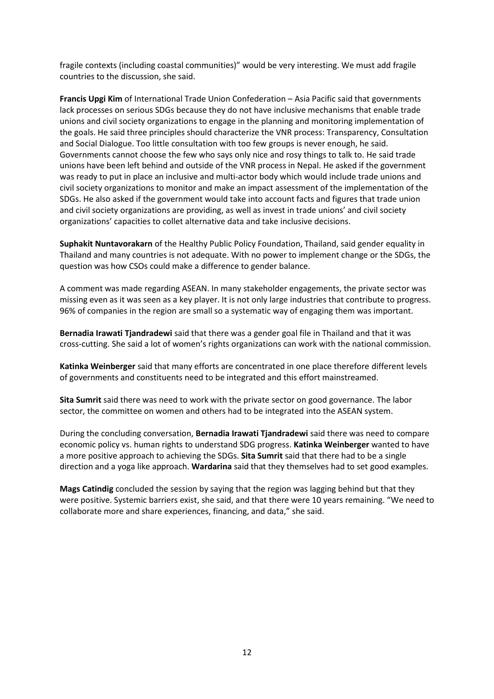fragile contexts (including coastal communities)" would be very interesting. We must add fragile countries to the discussion, she said.

**Francis Upgi Kim** of International Trade Union Confederation – Asia Pacific said that governments lack processes on serious SDGs because they do not have inclusive mechanisms that enable trade unions and civil society organizations to engage in the planning and monitoring implementation of the goals. He said three principles should characterize the VNR process: Transparency, Consultation and Social Dialogue. Too little consultation with too few groups is never enough, he said. Governments cannot choose the few who says only nice and rosy things to talk to. He said trade unions have been left behind and outside of the VNR process in Nepal. He asked if the government was ready to put in place an inclusive and multi-actor body which would include trade unions and civil society organizations to monitor and make an impact assessment of the implementation of the SDGs. He also asked if the government would take into account facts and figures that trade union and civil society organizations are providing, as well as invest in trade unions' and civil society organizations' capacities to collet alternative data and take inclusive decisions.

**Suphakit Nuntavorakarn** of the Healthy Public Policy Foundation, Thailand, said gender equality in Thailand and many countries is not adequate. With no power to implement change or the SDGs, the question was how CSOs could make a difference to gender balance.

A comment was made regarding ASEAN. In many stakeholder engagements, the private sector was missing even as it was seen as a key player. It is not only large industries that contribute to progress. 96% of companies in the region are small so a systematic way of engaging them was important.

**Bernadia Irawati Tjandradewi** said that there was a gender goal file in Thailand and that it was cross-cutting. She said a lot of women's rights organizations can work with the national commission.

**Katinka Weinberger** said that many efforts are concentrated in one place therefore different levels of governments and constituents need to be integrated and this effort mainstreamed.

**Sita Sumrit** said there was need to work with the private sector on good governance. The labor sector, the committee on women and others had to be integrated into the ASEAN system.

During the concluding conversation, **Bernadia Irawati Tjandradewi** said there was need to compare economic policy vs. human rights to understand SDG progress. **Katinka Weinberger** wanted to have a more positive approach to achieving the SDGs. **Sita Sumrit** said that there had to be a single direction and a yoga like approach. **Wardarina** said that they themselves had to set good examples.

**Mags Catindig** concluded the session by saying that the region was lagging behind but that they were positive. Systemic barriers exist, she said, and that there were 10 years remaining. "We need to collaborate more and share experiences, financing, and data," she said.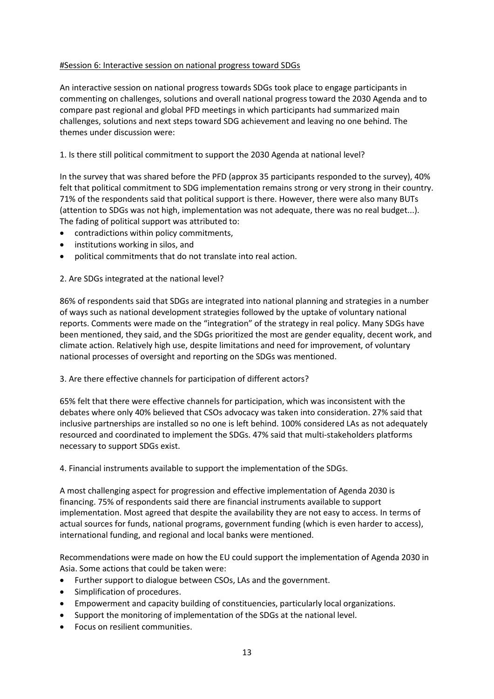### #Session 6: Interactive session on national progress toward SDGs

An interactive session on national progress towards SDGs took place to engage participants in commenting on challenges, solutions and overall national progress toward the 2030 Agenda and to compare past regional and global PFD meetings in which participants had summarized main challenges, solutions and next steps toward SDG achievement and leaving no one behind. The themes under discussion were:

### 1. Is there still political commitment to support the 2030 Agenda at national level?

In the survey that was shared before the PFD (approx 35 participants responded to the survey), 40% felt that political commitment to SDG implementation remains strong or very strong in their country. 71% of the respondents said that political support is there. However, there were also many BUTs (attention to SDGs was not high, implementation was not adequate, there was no real budget...). The fading of political support was attributed to:

- contradictions within policy commitments,
- institutions working in silos, and
- political commitments that do not translate into real action.

### 2. Are SDGs integrated at the national level?

86% of respondents said that SDGs are integrated into national planning and strategies in a number of ways such as national development strategies followed by the uptake of voluntary national reports. Comments were made on the "integration" of the strategy in real policy. Many SDGs have been mentioned, they said, and the SDGs prioritized the most are gender equality, decent work, and climate action. Relatively high use, despite limitations and need for improvement, of voluntary national processes of oversight and reporting on the SDGs was mentioned.

#### 3. Are there effective channels for participation of different actors?

65% felt that there were effective channels for participation, which was inconsistent with the debates where only 40% believed that CSOs advocacy was taken into consideration. 27% said that inclusive partnerships are installed so no one is left behind. 100% considered LAs as not adequately resourced and coordinated to implement the SDGs. 47% said that multi-stakeholders platforms necessary to support SDGs exist.

4. Financial instruments available to support the implementation of the SDGs.

A most challenging aspect for progression and effective implementation of Agenda 2030 is financing. 75% of respondents said there are financial instruments available to support implementation. Most agreed that despite the availability they are not easy to access. In terms of actual sources for funds, national programs, government funding (which is even harder to access), international funding, and regional and local banks were mentioned.

Recommendations were made on how the EU could support the implementation of Agenda 2030 in Asia. Some actions that could be taken were:

- Further support to dialogue between CSOs, LAs and the government.
- Simplification of procedures.
- Empowerment and capacity building of constituencies, particularly local organizations.
- Support the monitoring of implementation of the SDGs at the national level.
- Focus on resilient communities.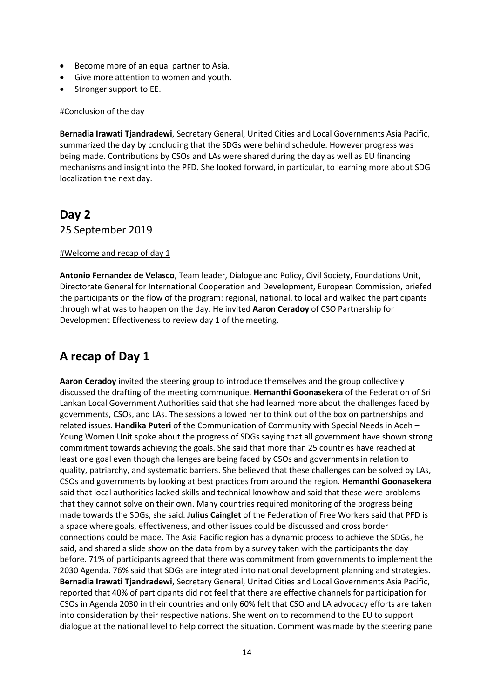- Become more of an equal partner to Asia.
- Give more attention to women and youth.
- Stronger support to EE.

#### #Conclusion of the day

**Bernadia Irawati Tjandradewi**, Secretary General, United Cities and Local Governments Asia Pacific, summarized the day by concluding that the SDGs were behind schedule. However progress was being made. Contributions by CSOs and LAs were shared during the day as well as EU financing mechanisms and insight into the PFD. She looked forward, in particular, to learning more about SDG localization the next day.

### **Day 2**

25 September 2019

#### #Welcome and recap of day 1

**Antonio Fernandez de Velasco**, Team leader, Dialogue and Policy, Civil Society, Foundations Unit, Directorate General for International Cooperation and Development, European Commission, briefed the participants on the flow of the program: regional, national, to local and walked the participants through what was to happen on the day. He invited **Aaron Ceradoy** of CSO Partnership for Development Effectiveness to review day 1 of the meeting.

# **A recap of Day 1**

**Aaron Ceradoy** invited the steering group to introduce themselves and the group collectively discussed the drafting of the meeting communique. **Hemanthi Goonasekera** of the Federation of Sri Lankan Local Government Authorities said that she had learned more about the challenges faced by governments, CSOs, and LAs. The sessions allowed her to think out of the box on partnerships and related issues. **Handika Puteri** of the Communication of Community with Special Needs in Aceh – Young Women Unit spoke about the progress of SDGs saying that all government have shown strong commitment towards achieving the goals. She said that more than 25 countries have reached at least one goal even though challenges are being faced by CSOs and governments in relation to quality, patriarchy, and systematic barriers. She believed that these challenges can be solved by LAs, CSOs and governments by looking at best practices from around the region. **Hemanthi Goonasekera** said that local authorities lacked skills and technical knowhow and said that these were problems that they cannot solve on their own. Many countries required monitoring of the progress being made towards the SDGs, she said. **Julius Cainglet** of the Federation of Free Workers said that PFD is a space where goals, effectiveness, and other issues could be discussed and cross border connections could be made. The Asia Pacific region has a dynamic process to achieve the SDGs, he said, and shared a slide show on the data from by a survey taken with the participants the day before. 71% of participants agreed that there was commitment from governments to implement the 2030 Agenda. 76% said that SDGs are integrated into national development planning and strategies. **Bernadia Irawati Tjandradewi**, Secretary General, United Cities and Local Governments Asia Pacific, reported that 40% of participants did not feel that there are effective channels for participation for CSOs in Agenda 2030 in their countries and only 60% felt that CSO and LA advocacy efforts are taken into consideration by their respective nations. She went on to recommend to the EU to support dialogue at the national level to help correct the situation. Comment was made by the steering panel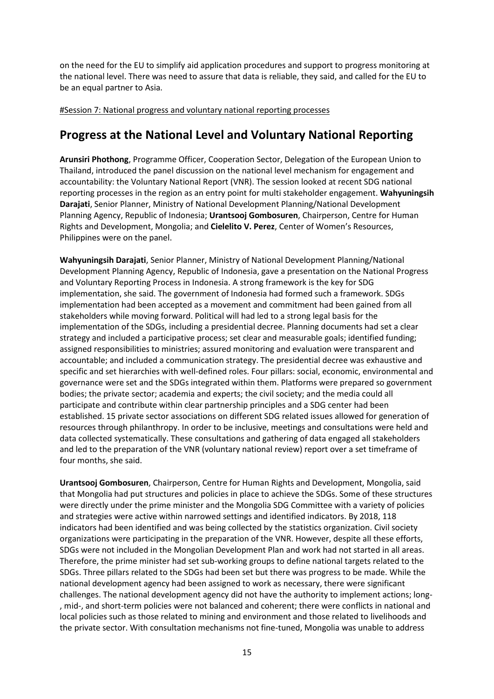on the need for the EU to simplify aid application procedures and support to progress monitoring at the national level. There was need to assure that data is reliable, they said, and called for the EU to be an equal partner to Asia.

#Session 7: National progress and voluntary national reporting processes

# **Progress at the National Level and Voluntary National Reporting**

**Arunsiri Phothong**, Programme Officer, Cooperation Sector, Delegation of the European Union to Thailand, introduced the panel discussion on the national level mechanism for engagement and accountability: the Voluntary National Report (VNR). The session looked at recent SDG national reporting processes in the region as an entry point for multi stakeholder engagement. **Wahyuningsih Darajati**, Senior Planner, Ministry of National Development Planning/National Development Planning Agency, Republic of Indonesia; **Urantsooj Gombosuren**, Chairperson, Centre for Human Rights and Development, Mongolia; and **Cielelito V. Perez**, Center of Women's Resources, Philippines were on the panel.

**Wahyuningsih Darajati**, Senior Planner, Ministry of National Development Planning/National Development Planning Agency, Republic of Indonesia, gave a presentation on the National Progress and Voluntary Reporting Process in Indonesia. A strong framework is the key for SDG implementation, she said. The government of Indonesia had formed such a framework. SDGs implementation had been accepted as a movement and commitment had been gained from all stakeholders while moving forward. Political will had led to a strong legal basis for the implementation of the SDGs, including a presidential decree. Planning documents had set a clear strategy and included a participative process; set clear and measurable goals; identified funding; assigned responsibilities to ministries; assured monitoring and evaluation were transparent and accountable; and included a communication strategy. The presidential decree was exhaustive and specific and set hierarchies with well-defined roles. Four pillars: social, economic, environmental and governance were set and the SDGs integrated within them. Platforms were prepared so government bodies; the private sector; academia and experts; the civil society; and the media could all participate and contribute within clear partnership principles and a SDG center had been established. 15 private sector associations on different SDG related issues allowed for generation of resources through philanthropy. In order to be inclusive, meetings and consultations were held and data collected systematically. These consultations and gathering of data engaged all stakeholders and led to the preparation of the VNR (voluntary national review) report over a set timeframe of four months, she said.

**Urantsooj Gombosuren**, Chairperson, Centre for Human Rights and Development, Mongolia, said that Mongolia had put structures and policies in place to achieve the SDGs. Some of these structures were directly under the prime minister and the Mongolia SDG Committee with a variety of policies and strategies were active within narrowed settings and identified indicators. By 2018, 118 indicators had been identified and was being collected by the statistics organization. Civil society organizations were participating in the preparation of the VNR. However, despite all these efforts, SDGs were not included in the Mongolian Development Plan and work had not started in all areas. Therefore, the prime minister had set sub-working groups to define national targets related to the SDGs. Three pillars related to the SDGs had been set but there was progress to be made. While the national development agency had been assigned to work as necessary, there were significant challenges. The national development agency did not have the authority to implement actions; long- , mid-, and short-term policies were not balanced and coherent; there were conflicts in national and local policies such as those related to mining and environment and those related to livelihoods and the private sector. With consultation mechanisms not fine-tuned, Mongolia was unable to address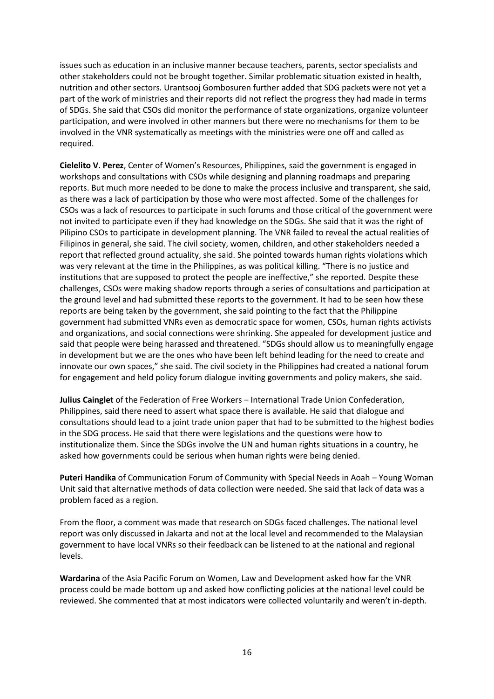issues such as education in an inclusive manner because teachers, parents, sector specialists and other stakeholders could not be brought together. Similar problematic situation existed in health, nutrition and other sectors. Urantsooj Gombosuren further added that SDG packets were not yet a part of the work of ministries and their reports did not reflect the progress they had made in terms of SDGs. She said that CSOs did monitor the performance of state organizations, organize volunteer participation, and were involved in other manners but there were no mechanisms for them to be involved in the VNR systematically as meetings with the ministries were one off and called as required.

**Cielelito V. Perez**, Center of Women's Resources, Philippines, said the government is engaged in workshops and consultations with CSOs while designing and planning roadmaps and preparing reports. But much more needed to be done to make the process inclusive and transparent, she said, as there was a lack of participation by those who were most affected. Some of the challenges for CSOs was a lack of resources to participate in such forums and those critical of the government were not invited to participate even if they had knowledge on the SDGs. She said that it was the right of Pilipino CSOs to participate in development planning. The VNR failed to reveal the actual realities of Filipinos in general, she said. The civil society, women, children, and other stakeholders needed a report that reflected ground actuality, she said. She pointed towards human rights violations which was very relevant at the time in the Philippines, as was political killing. "There is no justice and institutions that are supposed to protect the people are ineffective," she reported. Despite these challenges, CSOs were making shadow reports through a series of consultations and participation at the ground level and had submitted these reports to the government. It had to be seen how these reports are being taken by the government, she said pointing to the fact that the Philippine government had submitted VNRs even as democratic space for women, CSOs, human rights activists and organizations, and social connections were shrinking. She appealed for development justice and said that people were being harassed and threatened. "SDGs should allow us to meaningfully engage in development but we are the ones who have been left behind leading for the need to create and innovate our own spaces," she said. The civil society in the Philippines had created a national forum for engagement and held policy forum dialogue inviting governments and policy makers, she said.

**Julius Cainglet** of the Federation of Free Workers – International Trade Union Confederation, Philippines, said there need to assert what space there is available. He said that dialogue and consultations should lead to a joint trade union paper that had to be submitted to the highest bodies in the SDG process. He said that there were legislations and the questions were how to institutionalize them. Since the SDGs involve the UN and human rights situations in a country, he asked how governments could be serious when human rights were being denied.

**Puteri Handika** of Communication Forum of Community with Special Needs in Aoah – Young Woman Unit said that alternative methods of data collection were needed. She said that lack of data was a problem faced as a region.

From the floor, a comment was made that research on SDGs faced challenges. The national level report was only discussed in Jakarta and not at the local level and recommended to the Malaysian government to have local VNRs so their feedback can be listened to at the national and regional levels.

**Wardarina** of the Asia Pacific Forum on Women, Law and Development asked how far the VNR process could be made bottom up and asked how conflicting policies at the national level could be reviewed. She commented that at most indicators were collected voluntarily and weren't in-depth.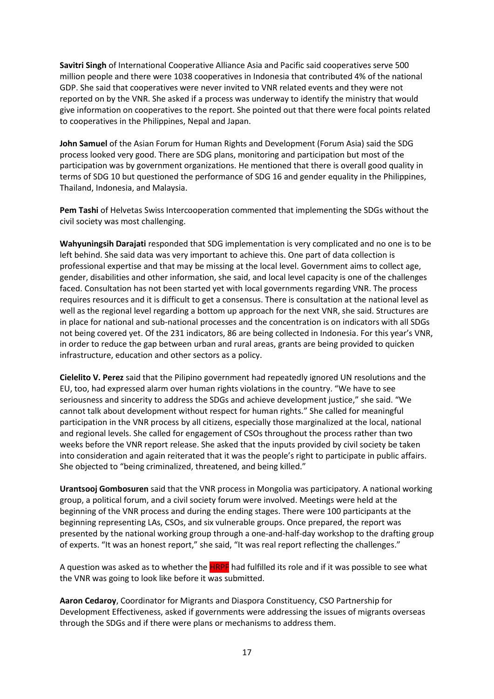**Savitri Singh** of International Cooperative Alliance Asia and Pacific said cooperatives serve 500 million people and there were 1038 cooperatives in Indonesia that contributed 4% of the national GDP. She said that cooperatives were never invited to VNR related events and they were not reported on by the VNR. She asked if a process was underway to identify the ministry that would give information on cooperatives to the report. She pointed out that there were focal points related to cooperatives in the Philippines, Nepal and Japan.

**John Samuel** of the Asian Forum for Human Rights and Development (Forum Asia) said the SDG process looked very good. There are SDG plans, monitoring and participation but most of the participation was by government organizations. He mentioned that there is overall good quality in terms of SDG 10 but questioned the performance of SDG 16 and gender equality in the Philippines, Thailand, Indonesia, and Malaysia.

**Pem Tashi** of Helvetas Swiss Intercooperation commented that implementing the SDGs without the civil society was most challenging.

**Wahyuningsih Darajati** responded that SDG implementation is very complicated and no one is to be left behind. She said data was very important to achieve this. One part of data collection is professional expertise and that may be missing at the local level. Government aims to collect age, gender, disabilities and other information, she said, and local level capacity is one of the challenges faced. Consultation has not been started yet with local governments regarding VNR. The process requires resources and it is difficult to get a consensus. There is consultation at the national level as well as the regional level regarding a bottom up approach for the next VNR, she said. Structures are in place for national and sub-national processes and the concentration is on indicators with all SDGs not being covered yet. Of the 231 indicators, 86 are being collected in Indonesia. For this year's VNR, in order to reduce the gap between urban and rural areas, grants are being provided to quicken infrastructure, education and other sectors as a policy.

**Cielelito V. Perez** said that the Pilipino government had repeatedly ignored UN resolutions and the EU, too, had expressed alarm over human rights violations in the country. "We have to see seriousness and sincerity to address the SDGs and achieve development justice," she said. "We cannot talk about development without respect for human rights." She called for meaningful participation in the VNR process by all citizens, especially those marginalized at the local, national and regional levels. She called for engagement of CSOs throughout the process rather than two weeks before the VNR report release. She asked that the inputs provided by civil society be taken into consideration and again reiterated that it was the people's right to participate in public affairs. She objected to "being criminalized, threatened, and being killed."

**Urantsooj Gombosuren** said that the VNR process in Mongolia was participatory. A national working group, a political forum, and a civil society forum were involved. Meetings were held at the beginning of the VNR process and during the ending stages. There were 100 participants at the beginning representing LAs, CSOs, and six vulnerable groups. Once prepared, the report was presented by the national working group through a one-and-half-day workshop to the drafting group of experts. "It was an honest report," she said, "It was real report reflecting the challenges."

A question was asked as to whether the **HRPF** had fulfilled its role and if it was possible to see what the VNR was going to look like before it was submitted.

**Aaron Cedaroy**, Coordinator for Migrants and Diaspora Constituency, CSO Partnership for Development Effectiveness, asked if governments were addressing the issues of migrants overseas through the SDGs and if there were plans or mechanisms to address them.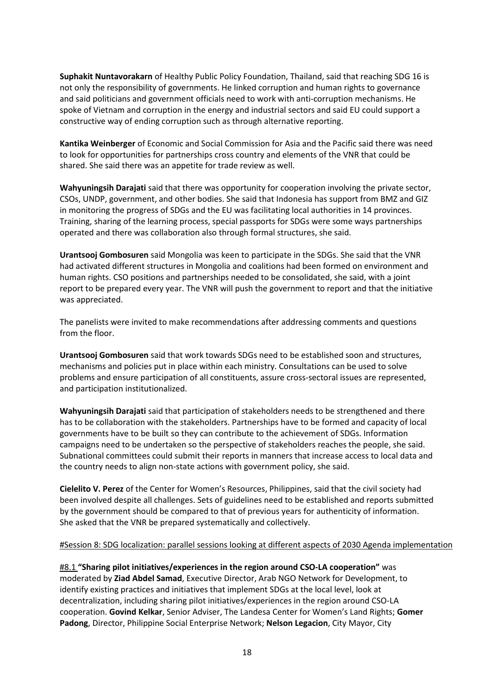**Suphakit Nuntavorakarn** of Healthy Public Policy Foundation, Thailand, said that reaching SDG 16 is not only the responsibility of governments. He linked corruption and human rights to governance and said politicians and government officials need to work with anti-corruption mechanisms. He spoke of Vietnam and corruption in the energy and industrial sectors and said EU could support a constructive way of ending corruption such as through alternative reporting.

**Kantika Weinberger** of Economic and Social Commission for Asia and the Pacific said there was need to look for opportunities for partnerships cross country and elements of the VNR that could be shared. She said there was an appetite for trade review as well.

**Wahyuningsih Darajati** said that there was opportunity for cooperation involving the private sector, CSOs, UNDP, government, and other bodies. She said that Indonesia has support from BMZ and GIZ in monitoring the progress of SDGs and the EU was facilitating local authorities in 14 provinces. Training, sharing of the learning process, special passports for SDGs were some ways partnerships operated and there was collaboration also through formal structures, she said.

**Urantsooj Gombosuren** said Mongolia was keen to participate in the SDGs. She said that the VNR had activated different structures in Mongolia and coalitions had been formed on environment and human rights. CSO positions and partnerships needed to be consolidated, she said, with a joint report to be prepared every year. The VNR will push the government to report and that the initiative was appreciated.

The panelists were invited to make recommendations after addressing comments and questions from the floor.

**Urantsooj Gombosuren** said that work towards SDGs need to be established soon and structures, mechanisms and policies put in place within each ministry. Consultations can be used to solve problems and ensure participation of all constituents, assure cross-sectoral issues are represented, and participation institutionalized.

**Wahyuningsih Darajati** said that participation of stakeholders needs to be strengthened and there has to be collaboration with the stakeholders. Partnerships have to be formed and capacity of local governments have to be built so they can contribute to the achievement of SDGs. Information campaigns need to be undertaken so the perspective of stakeholders reaches the people, she said. Subnational committees could submit their reports in manners that increase access to local data and the country needs to align non-state actions with government policy, she said.

**Cielelito V. Perez** of the Center for Women's Resources, Philippines, said that the civil society had been involved despite all challenges. Sets of guidelines need to be established and reports submitted by the government should be compared to that of previous years for authenticity of information. She asked that the VNR be prepared systematically and collectively.

#### #Session 8: SDG localization: parallel sessions looking at different aspects of 2030 Agenda implementation

#8.1 **"Sharing pilot initiatives/experiences in the region around CSO-LA cooperation"** was moderated by **Ziad Abdel Samad**, Executive Director, Arab NGO Network for Development, to identify existing practices and initiatives that implement SDGs at the local level, look at decentralization, including sharing pilot initiatives/experiences in the region around CSO-LA cooperation. **Govind Kelkar**, Senior Adviser, The Landesa Center for Women's Land Rights; **Gomer Padong**, Director, Philippine Social Enterprise Network; **Nelson Legacion**, City Mayor, City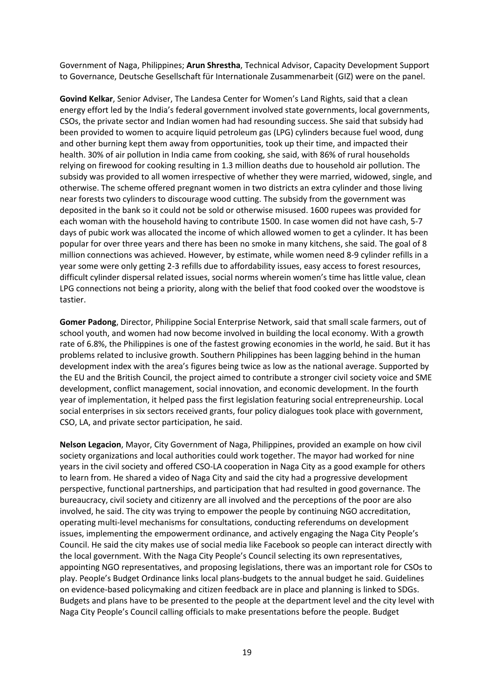Government of Naga, Philippines; **Arun Shrestha**, Technical Advisor, Capacity Development Support to Governance, Deutsche Gesellschaft für Internationale Zusammenarbeit (GIZ) were on the panel.

**Govind Kelkar**, Senior Adviser, The Landesa Center for Women's Land Rights, said that a clean energy effort led by the India's federal government involved state governments, local governments, CSOs, the private sector and Indian women had had resounding success. She said that subsidy had been provided to women to acquire liquid petroleum gas (LPG) cylinders because fuel wood, dung and other burning kept them away from opportunities, took up their time, and impacted their health. 30% of air pollution in India came from cooking, she said, with 86% of rural households relying on firewood for cooking resulting in 1.3 million deaths due to household air pollution. The subsidy was provided to all women irrespective of whether they were married, widowed, single, and otherwise. The scheme offered pregnant women in two districts an extra cylinder and those living near forests two cylinders to discourage wood cutting. The subsidy from the government was deposited in the bank so it could not be sold or otherwise misused. 1600 rupees was provided for each woman with the household having to contribute 1500. In case women did not have cash, 5-7 days of pubic work was allocated the income of which allowed women to get a cylinder. It has been popular for over three years and there has been no smoke in many kitchens, she said. The goal of 8 million connections was achieved. However, by estimate, while women need 8-9 cylinder refills in a year some were only getting 2-3 refills due to affordability issues, easy access to forest resources, difficult cylinder dispersal related issues, social norms wherein women's time has little value, clean LPG connections not being a priority, along with the belief that food cooked over the woodstove is tastier.

**Gomer Padong**, Director, Philippine Social Enterprise Network, said that small scale farmers, out of school youth, and women had now become involved in building the local economy. With a growth rate of 6.8%, the Philippines is one of the fastest growing economies in the world, he said. But it has problems related to inclusive growth. Southern Philippines has been lagging behind in the human development index with the area's figures being twice as low as the national average. Supported by the EU and the British Council, the project aimed to contribute a stronger civil society voice and SME development, conflict management, social innovation, and economic development. In the fourth year of implementation, it helped pass the first legislation featuring social entrepreneurship. Local social enterprises in six sectors received grants, four policy dialogues took place with government, CSO, LA, and private sector participation, he said.

**Nelson Legacion**, Mayor, City Government of Naga, Philippines, provided an example on how civil society organizations and local authorities could work together. The mayor had worked for nine years in the civil society and offered CSO-LA cooperation in Naga City as a good example for others to learn from. He shared a video of Naga City and said the city had a progressive development perspective, functional partnerships, and participation that had resulted in good governance. The bureaucracy, civil society and citizenry are all involved and the perceptions of the poor are also involved, he said. The city was trying to empower the people by continuing NGO accreditation, operating multi-level mechanisms for consultations, conducting referendums on development issues, implementing the empowerment ordinance, and actively engaging the Naga City People's Council. He said the city makes use of social media like Facebook so people can interact directly with the local government. With the Naga City People's Council selecting its own representatives, appointing NGO representatives, and proposing legislations, there was an important role for CSOs to play. People's Budget Ordinance links local plans-budgets to the annual budget he said. Guidelines on evidence-based policymaking and citizen feedback are in place and planning is linked to SDGs. Budgets and plans have to be presented to the people at the department level and the city level with Naga City People's Council calling officials to make presentations before the people. Budget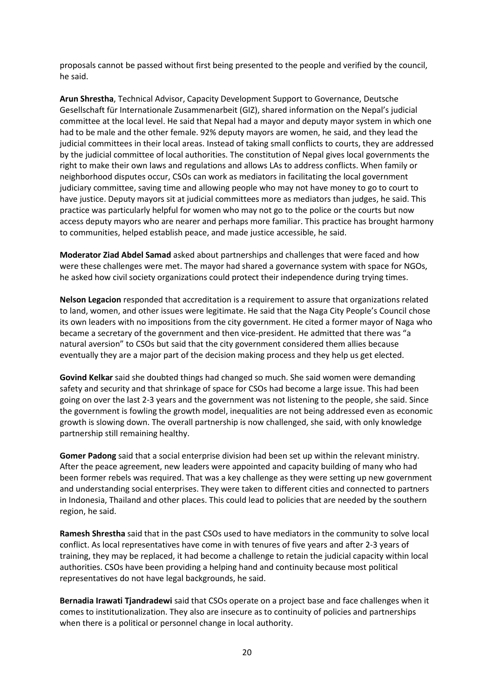proposals cannot be passed without first being presented to the people and verified by the council, he said.

**Arun Shrestha**, Technical Advisor, Capacity Development Support to Governance, Deutsche Gesellschaft für Internationale Zusammenarbeit (GIZ), shared information on the Nepal's judicial committee at the local level. He said that Nepal had a mayor and deputy mayor system in which one had to be male and the other female. 92% deputy mayors are women, he said, and they lead the judicial committees in their local areas. Instead of taking small conflicts to courts, they are addressed by the judicial committee of local authorities. The constitution of Nepal gives local governments the right to make their own laws and regulations and allows LAs to address conflicts. When family or neighborhood disputes occur, CSOs can work as mediators in facilitating the local government judiciary committee, saving time and allowing people who may not have money to go to court to have justice. Deputy mayors sit at judicial committees more as mediators than judges, he said. This practice was particularly helpful for women who may not go to the police or the courts but now access deputy mayors who are nearer and perhaps more familiar. This practice has brought harmony to communities, helped establish peace, and made justice accessible, he said.

**Moderator Ziad Abdel Samad** asked about partnerships and challenges that were faced and how were these challenges were met. The mayor had shared a governance system with space for NGOs, he asked how civil society organizations could protect their independence during trying times.

**Nelson Legacion** responded that accreditation is a requirement to assure that organizations related to land, women, and other issues were legitimate. He said that the Naga City People's Council chose its own leaders with no impositions from the city government. He cited a former mayor of Naga who became a secretary of the government and then vice-president. He admitted that there was "a natural aversion" to CSOs but said that the city government considered them allies because eventually they are a major part of the decision making process and they help us get elected.

**Govind Kelkar** said she doubted things had changed so much. She said women were demanding safety and security and that shrinkage of space for CSOs had become a large issue. This had been going on over the last 2-3 years and the government was not listening to the people, she said. Since the government is fowling the growth model, inequalities are not being addressed even as economic growth is slowing down. The overall partnership is now challenged, she said, with only knowledge partnership still remaining healthy.

**Gomer Padong** said that a social enterprise division had been set up within the relevant ministry. After the peace agreement, new leaders were appointed and capacity building of many who had been former rebels was required. That was a key challenge as they were setting up new government and understanding social enterprises. They were taken to different cities and connected to partners in Indonesia, Thailand and other places. This could lead to policies that are needed by the southern region, he said.

**Ramesh Shrestha** said that in the past CSOs used to have mediators in the community to solve local conflict. As local representatives have come in with tenures of five years and after 2-3 years of training, they may be replaced, it had become a challenge to retain the judicial capacity within local authorities. CSOs have been providing a helping hand and continuity because most political representatives do not have legal backgrounds, he said.

**Bernadia Irawati Tjandradewi** said that CSOs operate on a project base and face challenges when it comes to institutionalization. They also are insecure as to continuity of policies and partnerships when there is a political or personnel change in local authority.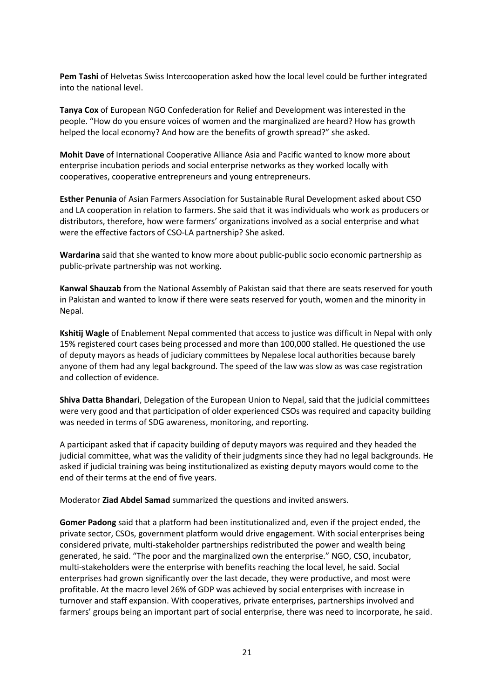**Pem Tashi** of Helvetas Swiss Intercooperation asked how the local level could be further integrated into the national level.

**Tanya Cox** of European NGO Confederation for Relief and Development was interested in the people. "How do you ensure voices of women and the marginalized are heard? How has growth helped the local economy? And how are the benefits of growth spread?" she asked.

**Mohit Dave** of International Cooperative Alliance Asia and Pacific wanted to know more about enterprise incubation periods and social enterprise networks as they worked locally with cooperatives, cooperative entrepreneurs and young entrepreneurs.

**Esther Penunia** of Asian Farmers Association for Sustainable Rural Development asked about CSO and LA cooperation in relation to farmers. She said that it was individuals who work as producers or distributors, therefore, how were farmers' organizations involved as a social enterprise and what were the effective factors of CSO-LA partnership? She asked.

**Wardarina** said that she wanted to know more about public-public socio economic partnership as public-private partnership was not working.

**Kanwal Shauzab** from the National Assembly of Pakistan said that there are seats reserved for youth in Pakistan and wanted to know if there were seats reserved for youth, women and the minority in Nepal.

**Kshitij Wagle** of Enablement Nepal commented that access to justice was difficult in Nepal with only 15% registered court cases being processed and more than 100,000 stalled. He questioned the use of deputy mayors as heads of judiciary committees by Nepalese local authorities because barely anyone of them had any legal background. The speed of the law was slow as was case registration and collection of evidence.

**Shiva Datta Bhandari**, Delegation of the European Union to Nepal, said that the judicial committees were very good and that participation of older experienced CSOs was required and capacity building was needed in terms of SDG awareness, monitoring, and reporting.

A participant asked that if capacity building of deputy mayors was required and they headed the judicial committee, what was the validity of their judgments since they had no legal backgrounds. He asked if judicial training was being institutionalized as existing deputy mayors would come to the end of their terms at the end of five years.

Moderator **Ziad Abdel Samad** summarized the questions and invited answers.

**Gomer Padong** said that a platform had been institutionalized and, even if the project ended, the private sector, CSOs, government platform would drive engagement. With social enterprises being considered private, multi-stakeholder partnerships redistributed the power and wealth being generated, he said. "The poor and the marginalized own the enterprise." NGO, CSO, incubator, multi-stakeholders were the enterprise with benefits reaching the local level, he said. Social enterprises had grown significantly over the last decade, they were productive, and most were profitable. At the macro level 26% of GDP was achieved by social enterprises with increase in turnover and staff expansion. With cooperatives, private enterprises, partnerships involved and farmers' groups being an important part of social enterprise, there was need to incorporate, he said.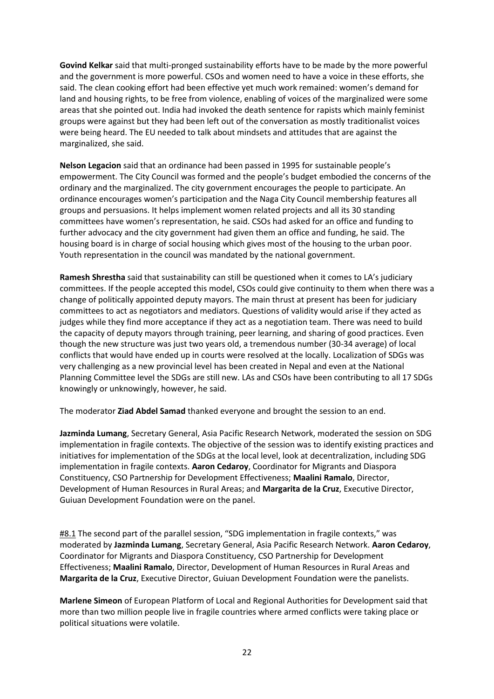**Govind Kelkar** said that multi-pronged sustainability efforts have to be made by the more powerful and the government is more powerful. CSOs and women need to have a voice in these efforts, she said. The clean cooking effort had been effective yet much work remained: women's demand for land and housing rights, to be free from violence, enabling of voices of the marginalized were some areas that she pointed out. India had invoked the death sentence for rapists which mainly feminist groups were against but they had been left out of the conversation as mostly traditionalist voices were being heard. The EU needed to talk about mindsets and attitudes that are against the marginalized, she said.

**Nelson Legacion** said that an ordinance had been passed in 1995 for sustainable people's empowerment. The City Council was formed and the people's budget embodied the concerns of the ordinary and the marginalized. The city government encourages the people to participate. An ordinance encourages women's participation and the Naga City Council membership features all groups and persuasions. It helps implement women related projects and all its 30 standing committees have women's representation, he said. CSOs had asked for an office and funding to further advocacy and the city government had given them an office and funding, he said. The housing board is in charge of social housing which gives most of the housing to the urban poor. Youth representation in the council was mandated by the national government.

**Ramesh Shrestha** said that sustainability can still be questioned when it comes to LA's judiciary committees. If the people accepted this model, CSOs could give continuity to them when there was a change of politically appointed deputy mayors. The main thrust at present has been for judiciary committees to act as negotiators and mediators. Questions of validity would arise if they acted as judges while they find more acceptance if they act as a negotiation team. There was need to build the capacity of deputy mayors through training, peer learning, and sharing of good practices. Even though the new structure was just two years old, a tremendous number (30-34 average) of local conflicts that would have ended up in courts were resolved at the locally. Localization of SDGs was very challenging as a new provincial level has been created in Nepal and even at the National Planning Committee level the SDGs are still new. LAs and CSOs have been contributing to all 17 SDGs knowingly or unknowingly, however, he said.

The moderator **Ziad Abdel Samad** thanked everyone and brought the session to an end.

**Jazminda Lumang**, Secretary General, Asia Pacific Research Network, moderated the session on SDG implementation in fragile contexts. The objective of the session was to identify existing practices and initiatives for implementation of the SDGs at the local level, look at decentralization, including SDG implementation in fragile contexts. **Aaron Cedaroy**, Coordinator for Migrants and Diaspora Constituency, CSO Partnership for Development Effectiveness; **Maalini Ramalo**, Director, Development of Human Resources in Rural Areas; and **Margarita de la Cruz**, Executive Director, Guiuan Development Foundation were on the panel.

#8.1 The second part of the parallel session, "SDG implementation in fragile contexts," was moderated by **Jazminda Lumang**, Secretary General, Asia Pacific Research Network. **Aaron Cedaroy**, Coordinator for Migrants and Diaspora Constituency, CSO Partnership for Development Effectiveness; **Maalini Ramalo**, Director, Development of Human Resources in Rural Areas and **Margarita de la Cruz**, Executive Director, Guiuan Development Foundation were the panelists.

**Marlene Simeon** of European Platform of Local and Regional Authorities for Development said that more than two million people live in fragile countries where armed conflicts were taking place or political situations were volatile.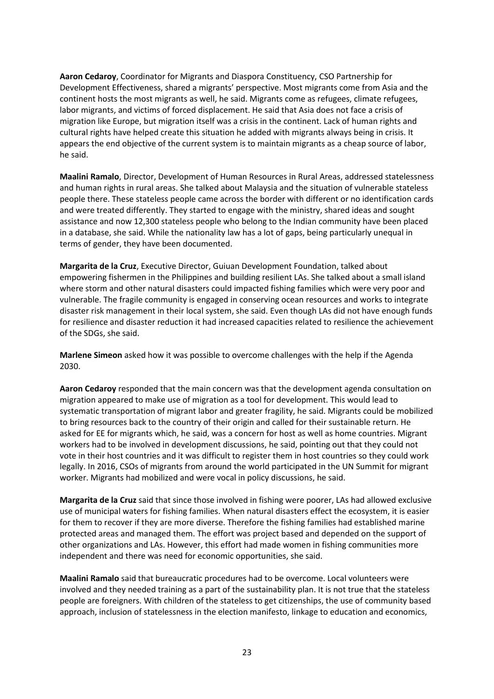**Aaron Cedaroy**, Coordinator for Migrants and Diaspora Constituency, CSO Partnership for Development Effectiveness, shared a migrants' perspective. Most migrants come from Asia and the continent hosts the most migrants as well, he said. Migrants come as refugees, climate refugees, labor migrants, and victims of forced displacement. He said that Asia does not face a crisis of migration like Europe, but migration itself was a crisis in the continent. Lack of human rights and cultural rights have helped create this situation he added with migrants always being in crisis. It appears the end objective of the current system is to maintain migrants as a cheap source of labor, he said.

**Maalini Ramalo**, Director, Development of Human Resources in Rural Areas, addressed statelessness and human rights in rural areas. She talked about Malaysia and the situation of vulnerable stateless people there. These stateless people came across the border with different or no identification cards and were treated differently. They started to engage with the ministry, shared ideas and sought assistance and now 12,300 stateless people who belong to the Indian community have been placed in a database, she said. While the nationality law has a lot of gaps, being particularly unequal in terms of gender, they have been documented.

**Margarita de la Cruz**, Executive Director, Guiuan Development Foundation, talked about empowering fishermen in the Philippines and building resilient LAs. She talked about a small island where storm and other natural disasters could impacted fishing families which were very poor and vulnerable. The fragile community is engaged in conserving ocean resources and works to integrate disaster risk management in their local system, she said. Even though LAs did not have enough funds for resilience and disaster reduction it had increased capacities related to resilience the achievement of the SDGs, she said.

**Marlene Simeon** asked how it was possible to overcome challenges with the help if the Agenda 2030.

**Aaron Cedaroy** responded that the main concern was that the development agenda consultation on migration appeared to make use of migration as a tool for development. This would lead to systematic transportation of migrant labor and greater fragility, he said. Migrants could be mobilized to bring resources back to the country of their origin and called for their sustainable return. He asked for EE for migrants which, he said, was a concern for host as well as home countries. Migrant workers had to be involved in development discussions, he said, pointing out that they could not vote in their host countries and it was difficult to register them in host countries so they could work legally. In 2016, CSOs of migrants from around the world participated in the UN Summit for migrant worker. Migrants had mobilized and were vocal in policy discussions, he said.

**Margarita de la Cruz** said that since those involved in fishing were poorer, LAs had allowed exclusive use of municipal waters for fishing families. When natural disasters effect the ecosystem, it is easier for them to recover if they are more diverse. Therefore the fishing families had established marine protected areas and managed them. The effort was project based and depended on the support of other organizations and LAs. However, this effort had made women in fishing communities more independent and there was need for economic opportunities, she said.

**Maalini Ramalo** said that bureaucratic procedures had to be overcome. Local volunteers were involved and they needed training as a part of the sustainability plan. It is not true that the stateless people are foreigners. With children of the stateless to get citizenships, the use of community based approach, inclusion of statelessness in the election manifesto, linkage to education and economics,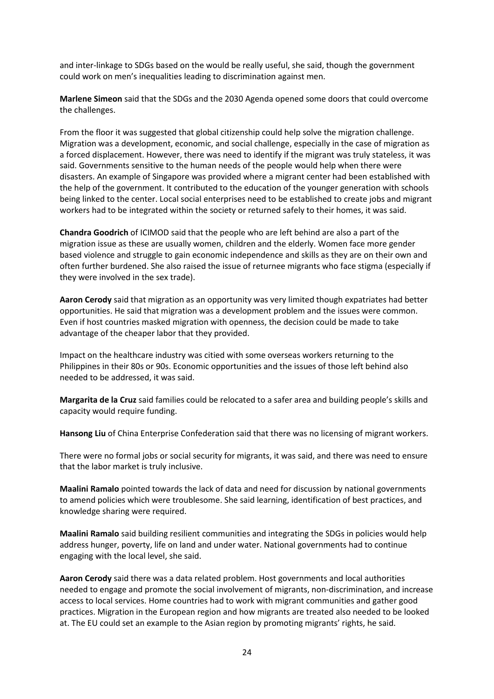and inter-linkage to SDGs based on the would be really useful, she said, though the government could work on men's inequalities leading to discrimination against men.

**Marlene Simeon** said that the SDGs and the 2030 Agenda opened some doors that could overcome the challenges.

From the floor it was suggested that global citizenship could help solve the migration challenge. Migration was a development, economic, and social challenge, especially in the case of migration as a forced displacement. However, there was need to identify if the migrant was truly stateless, it was said. Governments sensitive to the human needs of the people would help when there were disasters. An example of Singapore was provided where a migrant center had been established with the help of the government. It contributed to the education of the younger generation with schools being linked to the center. Local social enterprises need to be established to create jobs and migrant workers had to be integrated within the society or returned safely to their homes, it was said.

**Chandra Goodrich** of ICIMOD said that the people who are left behind are also a part of the migration issue as these are usually women, children and the elderly. Women face more gender based violence and struggle to gain economic independence and skills as they are on their own and often further burdened. She also raised the issue of returnee migrants who face stigma (especially if they were involved in the sex trade).

**Aaron Cerody** said that migration as an opportunity was very limited though expatriates had better opportunities. He said that migration was a development problem and the issues were common. Even if host countries masked migration with openness, the decision could be made to take advantage of the cheaper labor that they provided.

Impact on the healthcare industry was citied with some overseas workers returning to the Philippines in their 80s or 90s. Economic opportunities and the issues of those left behind also needed to be addressed, it was said.

**Margarita de la Cruz** said families could be relocated to a safer area and building people's skills and capacity would require funding.

**Hansong Liu** of China Enterprise Confederation said that there was no licensing of migrant workers.

There were no formal jobs or social security for migrants, it was said, and there was need to ensure that the labor market is truly inclusive.

**Maalini Ramalo** pointed towards the lack of data and need for discussion by national governments to amend policies which were troublesome. She said learning, identification of best practices, and knowledge sharing were required.

**Maalini Ramalo** said building resilient communities and integrating the SDGs in policies would help address hunger, poverty, life on land and under water. National governments had to continue engaging with the local level, she said.

**Aaron Cerody** said there was a data related problem. Host governments and local authorities needed to engage and promote the social involvement of migrants, non-discrimination, and increase access to local services. Home countries had to work with migrant communities and gather good practices. Migration in the European region and how migrants are treated also needed to be looked at. The EU could set an example to the Asian region by promoting migrants' rights, he said.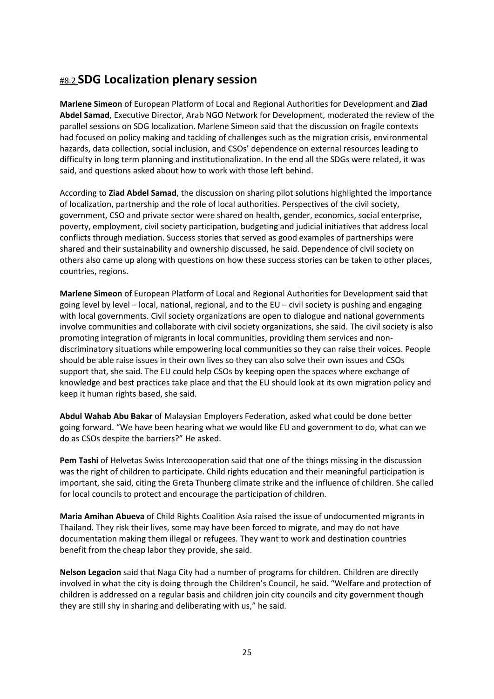## #8.2 **SDG Localization plenary session**

**Marlene Simeon** of European Platform of Local and Regional Authorities for Development and **Ziad Abdel Samad**, Executive Director, Arab NGO Network for Development, moderated the review of the parallel sessions on SDG localization. Marlene Simeon said that the discussion on fragile contexts had focused on policy making and tackling of challenges such as the migration crisis, environmental hazards, data collection, social inclusion, and CSOs' dependence on external resources leading to difficulty in long term planning and institutionalization. In the end all the SDGs were related, it was said, and questions asked about how to work with those left behind.

According to **Ziad Abdel Samad**, the discussion on sharing pilot solutions highlighted the importance of localization, partnership and the role of local authorities. Perspectives of the civil society, government, CSO and private sector were shared on health, gender, economics, social enterprise, poverty, employment, civil society participation, budgeting and judicial initiatives that address local conflicts through mediation. Success stories that served as good examples of partnerships were shared and their sustainability and ownership discussed, he said. Dependence of civil society on others also came up along with questions on how these success stories can be taken to other places, countries, regions.

**Marlene Simeon** of European Platform of Local and Regional Authorities for Development said that going level by level – local, national, regional, and to the EU – civil society is pushing and engaging with local governments. Civil society organizations are open to dialogue and national governments involve communities and collaborate with civil society organizations, she said. The civil society is also promoting integration of migrants in local communities, providing them services and nondiscriminatory situations while empowering local communities so they can raise their voices. People should be able raise issues in their own lives so they can also solve their own issues and CSOs support that, she said. The EU could help CSOs by keeping open the spaces where exchange of knowledge and best practices take place and that the EU should look at its own migration policy and keep it human rights based, she said.

**Abdul Wahab Abu Bakar** of Malaysian Employers Federation, asked what could be done better going forward. "We have been hearing what we would like EU and government to do, what can we do as CSOs despite the barriers?" He asked.

**Pem Tashi** of Helvetas Swiss Intercooperation said that one of the things missing in the discussion was the right of children to participate. Child rights education and their meaningful participation is important, she said, citing the Greta Thunberg climate strike and the influence of children. She called for local councils to protect and encourage the participation of children.

**Maria Amihan Abueva** of Child Rights Coalition Asia raised the issue of undocumented migrants in Thailand. They risk their lives, some may have been forced to migrate, and may do not have documentation making them illegal or refugees. They want to work and destination countries benefit from the cheap labor they provide, she said.

**Nelson Legacion** said that Naga City had a number of programs for children. Children are directly involved in what the city is doing through the Children's Council, he said. "Welfare and protection of children is addressed on a regular basis and children join city councils and city government though they are still shy in sharing and deliberating with us," he said.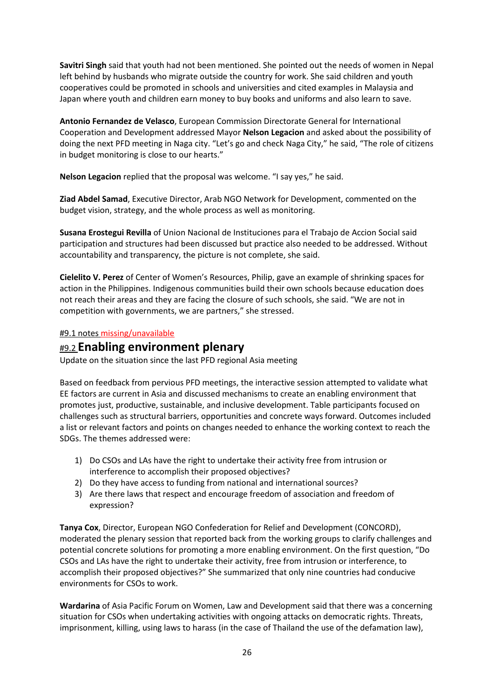**Savitri Singh** said that youth had not been mentioned. She pointed out the needs of women in Nepal left behind by husbands who migrate outside the country for work. She said children and youth cooperatives could be promoted in schools and universities and cited examples in Malaysia and Japan where youth and children earn money to buy books and uniforms and also learn to save.

**Antonio Fernandez de Velasco**, European Commission Directorate General for International Cooperation and Development addressed Mayor **Nelson Legacion** and asked about the possibility of doing the next PFD meeting in Naga city. "Let's go and check Naga City," he said, "The role of citizens in budget monitoring is close to our hearts."

**Nelson Legacion** replied that the proposal was welcome. "I say yes," he said.

**Ziad Abdel Samad**, Executive Director, Arab NGO Network for Development, commented on the budget vision, strategy, and the whole process as well as monitoring.

**Susana Erostegui Revilla** of Union Nacional de Instituciones para el Trabajo de Accion Social said participation and structures had been discussed but practice also needed to be addressed. Without accountability and transparency, the picture is not complete, she said.

**Cielelito V. Perez** of Center of Women's Resources, Philip, gave an example of shrinking spaces for action in the Philippines. Indigenous communities build their own schools because education does not reach their areas and they are facing the closure of such schools, she said. "We are not in competition with governments, we are partners," she stressed.

### #9.1 notes missing/unavailable

### #9.2 **Enabling environment plenary**

Update on the situation since the last PFD regional Asia meeting

Based on feedback from pervious PFD meetings, the interactive session attempted to validate what EE factors are current in Asia and discussed mechanisms to create an enabling environment that promotes just, productive, sustainable, and inclusive development. Table participants focused on challenges such as structural barriers, opportunities and concrete ways forward. Outcomes included a list or relevant factors and points on changes needed to enhance the working context to reach the SDGs. The themes addressed were:

- 1) Do CSOs and LAs have the right to undertake their activity free from intrusion or interference to accomplish their proposed objectives?
- 2) Do they have access to funding from national and international sources?
- 3) Are there laws that respect and encourage freedom of association and freedom of expression?

**Tanya Cox**, Director, European NGO Confederation for Relief and Development (CONCORD), moderated the plenary session that reported back from the working groups to clarify challenges and potential concrete solutions for promoting a more enabling environment. On the first question, "Do CSOs and LAs have the right to undertake their activity, free from intrusion or interference, to accomplish their proposed objectives?" She summarized that only nine countries had conducive environments for CSOs to work.

**Wardarina** of Asia Pacific Forum on Women, Law and Development said that there was a concerning situation for CSOs when undertaking activities with ongoing attacks on democratic rights. Threats, imprisonment, killing, using laws to harass (in the case of Thailand the use of the defamation law),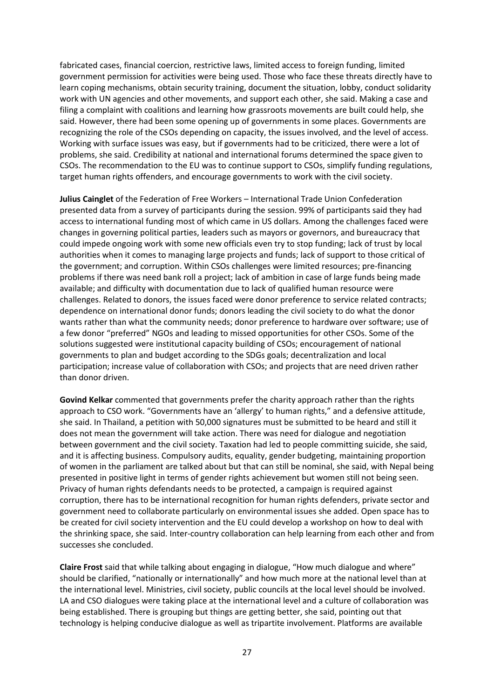fabricated cases, financial coercion, restrictive laws, limited access to foreign funding, limited government permission for activities were being used. Those who face these threats directly have to learn coping mechanisms, obtain security training, document the situation, lobby, conduct solidarity work with UN agencies and other movements, and support each other, she said. Making a case and filing a complaint with coalitions and learning how grassroots movements are built could help, she said. However, there had been some opening up of governments in some places. Governments are recognizing the role of the CSOs depending on capacity, the issues involved, and the level of access. Working with surface issues was easy, but if governments had to be criticized, there were a lot of problems, she said. Credibility at national and international forums determined the space given to CSOs. The recommendation to the EU was to continue support to CSOs, simplify funding regulations, target human rights offenders, and encourage governments to work with the civil society.

**Julius Cainglet** of the Federation of Free Workers – International Trade Union Confederation presented data from a survey of participants during the session. 99% of participants said they had access to international funding most of which came in US dollars. Among the challenges faced were changes in governing political parties, leaders such as mayors or governors, and bureaucracy that could impede ongoing work with some new officials even try to stop funding; lack of trust by local authorities when it comes to managing large projects and funds; lack of support to those critical of the government; and corruption. Within CSOs challenges were limited resources; pre-financing problems if there was need bank roll a project; lack of ambition in case of large funds being made available; and difficulty with documentation due to lack of qualified human resource were challenges. Related to donors, the issues faced were donor preference to service related contracts; dependence on international donor funds; donors leading the civil society to do what the donor wants rather than what the community needs; donor preference to hardware over software; use of a few donor "preferred" NGOs and leading to missed opportunities for other CSOs. Some of the solutions suggested were institutional capacity building of CSOs; encouragement of national governments to plan and budget according to the SDGs goals; decentralization and local participation; increase value of collaboration with CSOs; and projects that are need driven rather than donor driven.

**Govind Kelkar** commented that governments prefer the charity approach rather than the rights approach to CSO work. "Governments have an 'allergy' to human rights," and a defensive attitude, she said. In Thailand, a petition with 50,000 signatures must be submitted to be heard and still it does not mean the government will take action. There was need for dialogue and negotiation between government and the civil society. Taxation had led to people committing suicide, she said, and it is affecting business. Compulsory audits, equality, gender budgeting, maintaining proportion of women in the parliament are talked about but that can still be nominal, she said, with Nepal being presented in positive light in terms of gender rights achievement but women still not being seen. Privacy of human rights defendants needs to be protected, a campaign is required against corruption, there has to be international recognition for human rights defenders, private sector and government need to collaborate particularly on environmental issues she added. Open space has to be created for civil society intervention and the EU could develop a workshop on how to deal with the shrinking space, she said. Inter-country collaboration can help learning from each other and from successes she concluded.

**Claire Frost** said that while talking about engaging in dialogue, "How much dialogue and where" should be clarified, "nationally or internationally" and how much more at the national level than at the international level. Ministries, civil society, public councils at the local level should be involved. LA and CSO dialogues were taking place at the international level and a culture of collaboration was being established. There is grouping but things are getting better, she said, pointing out that technology is helping conducive dialogue as well as tripartite involvement. Platforms are available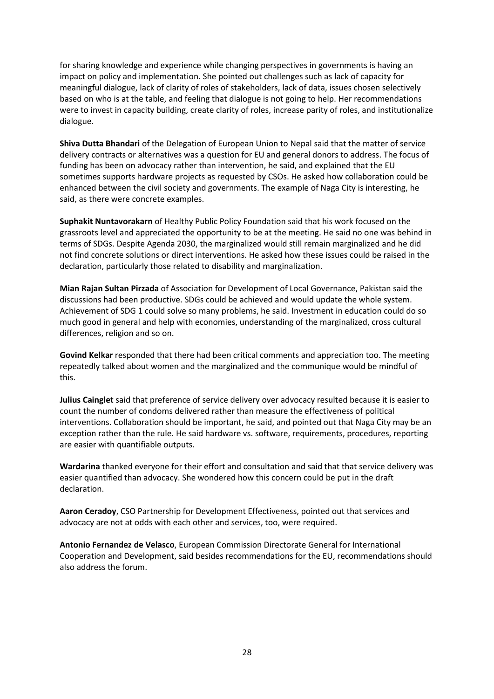for sharing knowledge and experience while changing perspectives in governments is having an impact on policy and implementation. She pointed out challenges such as lack of capacity for meaningful dialogue, lack of clarity of roles of stakeholders, lack of data, issues chosen selectively based on who is at the table, and feeling that dialogue is not going to help. Her recommendations were to invest in capacity building, create clarity of roles, increase parity of roles, and institutionalize dialogue.

**Shiva Dutta Bhandari** of the Delegation of European Union to Nepal said that the matter of service delivery contracts or alternatives was a question for EU and general donors to address. The focus of funding has been on advocacy rather than intervention, he said, and explained that the EU sometimes supports hardware projects as requested by CSOs. He asked how collaboration could be enhanced between the civil society and governments. The example of Naga City is interesting, he said, as there were concrete examples.

**Suphakit Nuntavorakarn** of Healthy Public Policy Foundation said that his work focused on the grassroots level and appreciated the opportunity to be at the meeting. He said no one was behind in terms of SDGs. Despite Agenda 2030, the marginalized would still remain marginalized and he did not find concrete solutions or direct interventions. He asked how these issues could be raised in the declaration, particularly those related to disability and marginalization.

**Mian Rajan Sultan Pirzada** of Association for Development of Local Governance, Pakistan said the discussions had been productive. SDGs could be achieved and would update the whole system. Achievement of SDG 1 could solve so many problems, he said. Investment in education could do so much good in general and help with economies, understanding of the marginalized, cross cultural differences, religion and so on.

**Govind Kelkar** responded that there had been critical comments and appreciation too. The meeting repeatedly talked about women and the marginalized and the communique would be mindful of this.

**Julius Cainglet** said that preference of service delivery over advocacy resulted because it is easier to count the number of condoms delivered rather than measure the effectiveness of political interventions. Collaboration should be important, he said, and pointed out that Naga City may be an exception rather than the rule. He said hardware vs. software, requirements, procedures, reporting are easier with quantifiable outputs.

**Wardarina** thanked everyone for their effort and consultation and said that that service delivery was easier quantified than advocacy. She wondered how this concern could be put in the draft declaration.

**Aaron Ceradoy**, CSO Partnership for Development Effectiveness, pointed out that services and advocacy are not at odds with each other and services, too, were required.

**Antonio Fernandez de Velasco**, European Commission Directorate General for International Cooperation and Development, said besides recommendations for the EU, recommendations should also address the forum.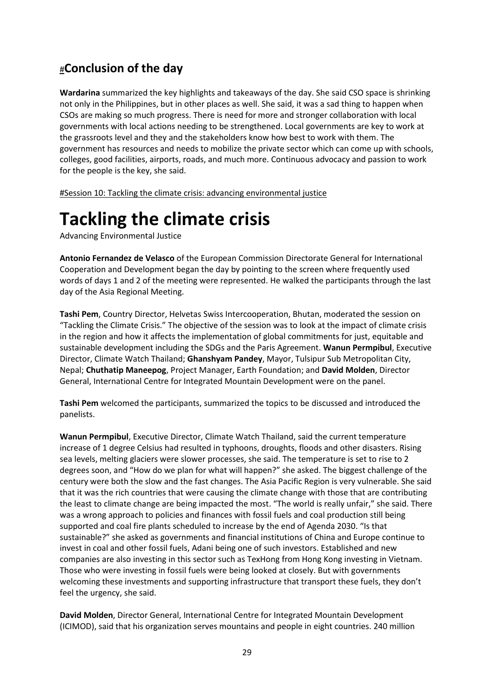# #**Conclusion of the day**

**Wardarina** summarized the key highlights and takeaways of the day. She said CSO space is shrinking not only in the Philippines, but in other places as well. She said, it was a sad thing to happen when CSOs are making so much progress. There is need for more and stronger collaboration with local governments with local actions needing to be strengthened. Local governments are key to work at the grassroots level and they and the stakeholders know how best to work with them. The government has resources and needs to mobilize the private sector which can come up with schools, colleges, good facilities, airports, roads, and much more. Continuous advocacy and passion to work for the people is the key, she said.

#Session 10: Tackling the climate crisis: advancing environmental justice

# **Tackling the climate crisis**

Advancing Environmental Justice

**Antonio Fernandez de Velasco** of the European Commission Directorate General for International Cooperation and Development began the day by pointing to the screen where frequently used words of days 1 and 2 of the meeting were represented. He walked the participants through the last day of the Asia Regional Meeting.

**Tashi Pem**, Country Director, Helvetas Swiss Intercooperation, Bhutan, moderated the session on "Tackling the Climate Crisis." The objective of the session was to look at the impact of climate crisis in the region and how it affects the implementation of global commitments for just, equitable and sustainable development including the SDGs and the Paris Agreement. **Wanun Permpibul**, Executive Director, Climate Watch Thailand; **Ghanshyam Pandey**, Mayor, Tulsipur Sub Metropolitan City, Nepal; **Chuthatip Maneepog**, Project Manager, Earth Foundation; and **David Molden**, Director General, International Centre for Integrated Mountain Development were on the panel.

**Tashi Pem** welcomed the participants, summarized the topics to be discussed and introduced the panelists.

**Wanun Permpibul**, Executive Director, Climate Watch Thailand, said the current temperature increase of 1 degree Celsius had resulted in typhoons, droughts, floods and other disasters. Rising sea levels, melting glaciers were slower processes, she said. The temperature is set to rise to 2 degrees soon, and "How do we plan for what will happen?" she asked. The biggest challenge of the century were both the slow and the fast changes. The Asia Pacific Region is very vulnerable. She said that it was the rich countries that were causing the climate change with those that are contributing the least to climate change are being impacted the most. "The world is really unfair," she said. There was a wrong approach to policies and finances with fossil fuels and coal production still being supported and coal fire plants scheduled to increase by the end of Agenda 2030. "Is that sustainable?" she asked as governments and financial institutions of China and Europe continue to invest in coal and other fossil fuels, Adani being one of such investors. Established and new companies are also investing in this sector such as TexHong from Hong Kong investing in Vietnam. Those who were investing in fossil fuels were being looked at closely. But with governments welcoming these investments and supporting infrastructure that transport these fuels, they don't feel the urgency, she said.

**David Molden**, Director General, International Centre for Integrated Mountain Development (ICIMOD), said that his organization serves mountains and people in eight countries. 240 million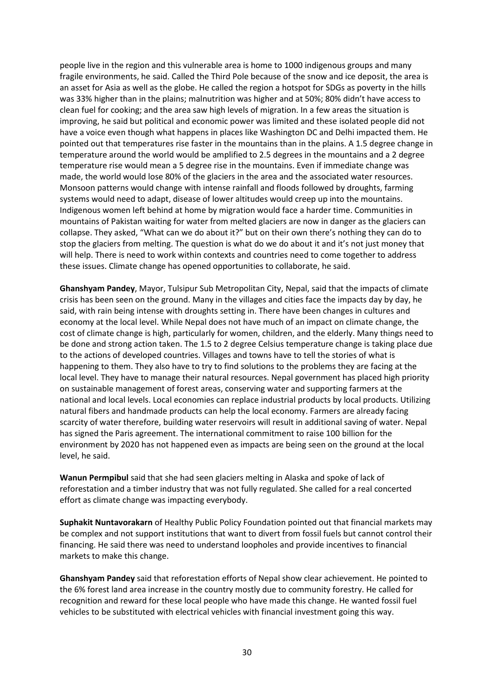people live in the region and this vulnerable area is home to 1000 indigenous groups and many fragile environments, he said. Called the Third Pole because of the snow and ice deposit, the area is an asset for Asia as well as the globe. He called the region a hotspot for SDGs as poverty in the hills was 33% higher than in the plains; malnutrition was higher and at 50%; 80% didn't have access to clean fuel for cooking; and the area saw high levels of migration. In a few areas the situation is improving, he said but political and economic power was limited and these isolated people did not have a voice even though what happens in places like Washington DC and Delhi impacted them. He pointed out that temperatures rise faster in the mountains than in the plains. A 1.5 degree change in temperature around the world would be amplified to 2.5 degrees in the mountains and a 2 degree temperature rise would mean a 5 degree rise in the mountains. Even if immediate change was made, the world would lose 80% of the glaciers in the area and the associated water resources. Monsoon patterns would change with intense rainfall and floods followed by droughts, farming systems would need to adapt, disease of lower altitudes would creep up into the mountains. Indigenous women left behind at home by migration would face a harder time. Communities in mountains of Pakistan waiting for water from melted glaciers are now in danger as the glaciers can collapse. They asked, "What can we do about it?" but on their own there's nothing they can do to stop the glaciers from melting. The question is what do we do about it and it's not just money that will help. There is need to work within contexts and countries need to come together to address these issues. Climate change has opened opportunities to collaborate, he said.

**Ghanshyam Pandey**, Mayor, Tulsipur Sub Metropolitan City, Nepal, said that the impacts of climate crisis has been seen on the ground. Many in the villages and cities face the impacts day by day, he said, with rain being intense with droughts setting in. There have been changes in cultures and economy at the local level. While Nepal does not have much of an impact on climate change, the cost of climate change is high, particularly for women, children, and the elderly. Many things need to be done and strong action taken. The 1.5 to 2 degree Celsius temperature change is taking place due to the actions of developed countries. Villages and towns have to tell the stories of what is happening to them. They also have to try to find solutions to the problems they are facing at the local level. They have to manage their natural resources. Nepal government has placed high priority on sustainable management of forest areas, conserving water and supporting farmers at the national and local levels. Local economies can replace industrial products by local products. Utilizing natural fibers and handmade products can help the local economy. Farmers are already facing scarcity of water therefore, building water reservoirs will result in additional saving of water. Nepal has signed the Paris agreement. The international commitment to raise 100 billion for the environment by 2020 has not happened even as impacts are being seen on the ground at the local level, he said.

**Wanun Permpibul** said that she had seen glaciers melting in Alaska and spoke of lack of reforestation and a timber industry that was not fully regulated. She called for a real concerted effort as climate change was impacting everybody.

**Suphakit Nuntavorakarn** of Healthy Public Policy Foundation pointed out that financial markets may be complex and not support institutions that want to divert from fossil fuels but cannot control their financing. He said there was need to understand loopholes and provide incentives to financial markets to make this change.

**Ghanshyam Pandey** said that reforestation efforts of Nepal show clear achievement. He pointed to the 6% forest land area increase in the country mostly due to community forestry. He called for recognition and reward for these local people who have made this change. He wanted fossil fuel vehicles to be substituted with electrical vehicles with financial investment going this way.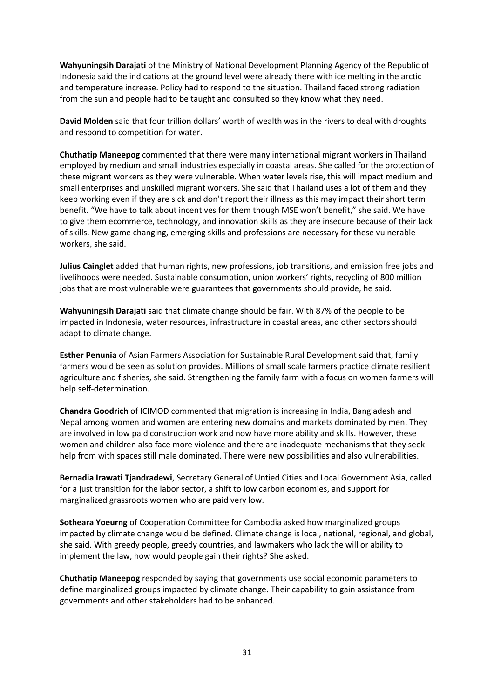**Wahyuningsih Darajati** of the Ministry of National Development Planning Agency of the Republic of Indonesia said the indications at the ground level were already there with ice melting in the arctic and temperature increase. Policy had to respond to the situation. Thailand faced strong radiation from the sun and people had to be taught and consulted so they know what they need.

**David Molden** said that four trillion dollars' worth of wealth was in the rivers to deal with droughts and respond to competition for water.

**Chuthatip Maneepog** commented that there were many international migrant workers in Thailand employed by medium and small industries especially in coastal areas. She called for the protection of these migrant workers as they were vulnerable. When water levels rise, this will impact medium and small enterprises and unskilled migrant workers. She said that Thailand uses a lot of them and they keep working even if they are sick and don't report their illness as this may impact their short term benefit. "We have to talk about incentives for them though MSE won't benefit," she said. We have to give them ecommerce, technology, and innovation skills as they are insecure because of their lack of skills. New game changing, emerging skills and professions are necessary for these vulnerable workers, she said.

**Julius Cainglet** added that human rights, new professions, job transitions, and emission free jobs and livelihoods were needed. Sustainable consumption, union workers' rights, recycling of 800 million jobs that are most vulnerable were guarantees that governments should provide, he said.

**Wahyuningsih Darajati** said that climate change should be fair. With 87% of the people to be impacted in Indonesia, water resources, infrastructure in coastal areas, and other sectors should adapt to climate change.

**Esther Penunia** of Asian Farmers Association for Sustainable Rural Development said that, family farmers would be seen as solution provides. Millions of small scale farmers practice climate resilient agriculture and fisheries, she said. Strengthening the family farm with a focus on women farmers will help self-determination.

**Chandra Goodrich** of ICIMOD commented that migration is increasing in India, Bangladesh and Nepal among women and women are entering new domains and markets dominated by men. They are involved in low paid construction work and now have more ability and skills. However, these women and children also face more violence and there are inadequate mechanisms that they seek help from with spaces still male dominated. There were new possibilities and also vulnerabilities.

**Bernadia Irawati Tjandradewi**, Secretary General of Untied Cities and Local Government Asia, called for a just transition for the labor sector, a shift to low carbon economies, and support for marginalized grassroots women who are paid very low.

**Sotheara Yoeurng** of Cooperation Committee for Cambodia asked how marginalized groups impacted by climate change would be defined. Climate change is local, national, regional, and global, she said. With greedy people, greedy countries, and lawmakers who lack the will or ability to implement the law, how would people gain their rights? She asked.

**Chuthatip Maneepog** responded by saying that governments use social economic parameters to define marginalized groups impacted by climate change. Their capability to gain assistance from governments and other stakeholders had to be enhanced.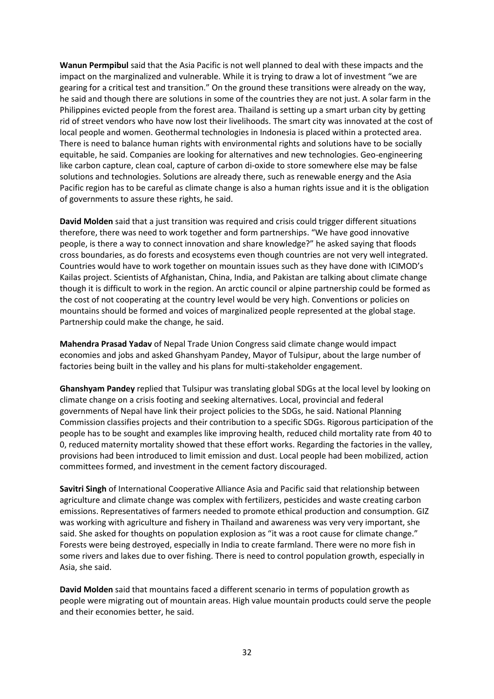**Wanun Permpibul** said that the Asia Pacific is not well planned to deal with these impacts and the impact on the marginalized and vulnerable. While it is trying to draw a lot of investment "we are gearing for a critical test and transition." On the ground these transitions were already on the way, he said and though there are solutions in some of the countries they are not just. A solar farm in the Philippines evicted people from the forest area. Thailand is setting up a smart urban city by getting rid of street vendors who have now lost their livelihoods. The smart city was innovated at the cost of local people and women. Geothermal technologies in Indonesia is placed within a protected area. There is need to balance human rights with environmental rights and solutions have to be socially equitable, he said. Companies are looking for alternatives and new technologies. Geo-engineering like carbon capture, clean coal, capture of carbon di-oxide to store somewhere else may be false solutions and technologies. Solutions are already there, such as renewable energy and the Asia Pacific region has to be careful as climate change is also a human rights issue and it is the obligation of governments to assure these rights, he said.

**David Molden** said that a just transition was required and crisis could trigger different situations therefore, there was need to work together and form partnerships. "We have good innovative people, is there a way to connect innovation and share knowledge?" he asked saying that floods cross boundaries, as do forests and ecosystems even though countries are not very well integrated. Countries would have to work together on mountain issues such as they have done with ICIMOD's Kailas project. Scientists of Afghanistan, China, India, and Pakistan are talking about climate change though it is difficult to work in the region. An arctic council or alpine partnership could be formed as the cost of not cooperating at the country level would be very high. Conventions or policies on mountains should be formed and voices of marginalized people represented at the global stage. Partnership could make the change, he said.

**Mahendra Prasad Yadav** of Nepal Trade Union Congress said climate change would impact economies and jobs and asked Ghanshyam Pandey, Mayor of Tulsipur, about the large number of factories being built in the valley and his plans for multi-stakeholder engagement.

**Ghanshyam Pandey** replied that Tulsipur was translating global SDGs at the local level by looking on climate change on a crisis footing and seeking alternatives. Local, provincial and federal governments of Nepal have link their project policies to the SDGs, he said. National Planning Commission classifies projects and their contribution to a specific SDGs. Rigorous participation of the people has to be sought and examples like improving health, reduced child mortality rate from 40 to 0, reduced maternity mortality showed that these effort works. Regarding the factories in the valley, provisions had been introduced to limit emission and dust. Local people had been mobilized, action committees formed, and investment in the cement factory discouraged.

**Savitri Singh** of International Cooperative Alliance Asia and Pacific said that relationship between agriculture and climate change was complex with fertilizers, pesticides and waste creating carbon emissions. Representatives of farmers needed to promote ethical production and consumption. GIZ was working with agriculture and fishery in Thailand and awareness was very very important, she said. She asked for thoughts on population explosion as "it was a root cause for climate change." Forests were being destroyed, especially in India to create farmland. There were no more fish in some rivers and lakes due to over fishing. There is need to control population growth, especially in Asia, she said.

**David Molden** said that mountains faced a different scenario in terms of population growth as people were migrating out of mountain areas. High value mountain products could serve the people and their economies better, he said.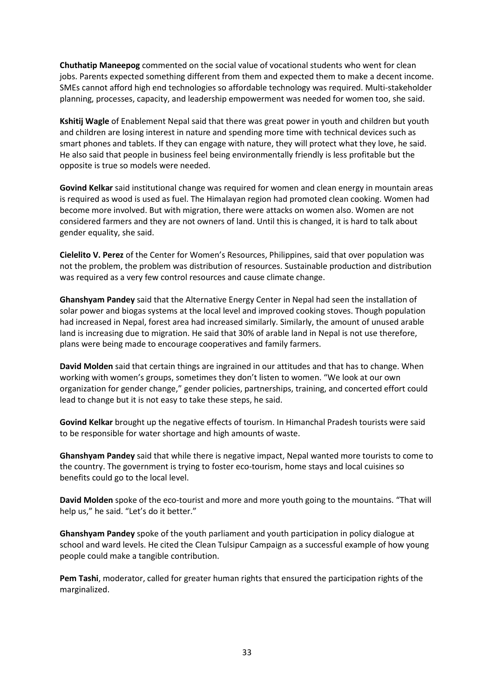**Chuthatip Maneepog** commented on the social value of vocational students who went for clean jobs. Parents expected something different from them and expected them to make a decent income. SMEs cannot afford high end technologies so affordable technology was required. Multi-stakeholder planning, processes, capacity, and leadership empowerment was needed for women too, she said.

**Kshitij Wagle** of Enablement Nepal said that there was great power in youth and children but youth and children are losing interest in nature and spending more time with technical devices such as smart phones and tablets. If they can engage with nature, they will protect what they love, he said. He also said that people in business feel being environmentally friendly is less profitable but the opposite is true so models were needed.

**Govind Kelkar** said institutional change was required for women and clean energy in mountain areas is required as wood is used as fuel. The Himalayan region had promoted clean cooking. Women had become more involved. But with migration, there were attacks on women also. Women are not considered farmers and they are not owners of land. Until this is changed, it is hard to talk about gender equality, she said.

**Cielelito V. Perez** of the Center for Women's Resources, Philippines, said that over population was not the problem, the problem was distribution of resources. Sustainable production and distribution was required as a very few control resources and cause climate change.

**Ghanshyam Pandey** said that the Alternative Energy Center in Nepal had seen the installation of solar power and biogas systems at the local level and improved cooking stoves. Though population had increased in Nepal, forest area had increased similarly. Similarly, the amount of unused arable land is increasing due to migration. He said that 30% of arable land in Nepal is not use therefore, plans were being made to encourage cooperatives and family farmers.

**David Molden** said that certain things are ingrained in our attitudes and that has to change. When working with women's groups, sometimes they don't listen to women. "We look at our own organization for gender change," gender policies, partnerships, training, and concerted effort could lead to change but it is not easy to take these steps, he said.

**Govind Kelkar** brought up the negative effects of tourism. In Himanchal Pradesh tourists were said to be responsible for water shortage and high amounts of waste.

**Ghanshyam Pandey** said that while there is negative impact, Nepal wanted more tourists to come to the country. The government is trying to foster eco-tourism, home stays and local cuisines so benefits could go to the local level.

**David Molden** spoke of the eco-tourist and more and more youth going to the mountains. "That will help us," he said. "Let's do it better."

**Ghanshyam Pandey** spoke of the youth parliament and youth participation in policy dialogue at school and ward levels. He cited the Clean Tulsipur Campaign as a successful example of how young people could make a tangible contribution.

**Pem Tashi**, moderator, called for greater human rights that ensured the participation rights of the marginalized.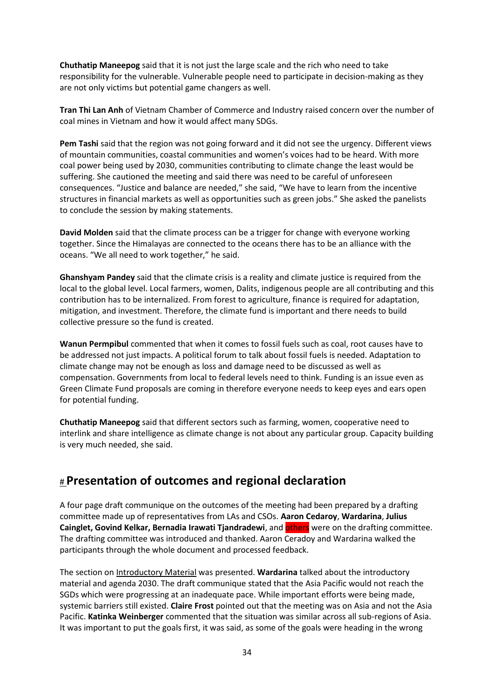**Chuthatip Maneepog** said that it is not just the large scale and the rich who need to take responsibility for the vulnerable. Vulnerable people need to participate in decision-making as they are not only victims but potential game changers as well.

**Tran Thi Lan Anh** of Vietnam Chamber of Commerce and Industry raised concern over the number of coal mines in Vietnam and how it would affect many SDGs.

**Pem Tashi** said that the region was not going forward and it did not see the urgency. Different views of mountain communities, coastal communities and women's voices had to be heard. With more coal power being used by 2030, communities contributing to climate change the least would be suffering. She cautioned the meeting and said there was need to be careful of unforeseen consequences. "Justice and balance are needed," she said, "We have to learn from the incentive structures in financial markets as well as opportunities such as green jobs." She asked the panelists to conclude the session by making statements.

**David Molden** said that the climate process can be a trigger for change with everyone working together. Since the Himalayas are connected to the oceans there has to be an alliance with the oceans. "We all need to work together," he said.

**Ghanshyam Pandey** said that the climate crisis is a reality and climate justice is required from the local to the global level. Local farmers, women, Dalits, indigenous people are all contributing and this contribution has to be internalized. From forest to agriculture, finance is required for adaptation, mitigation, and investment. Therefore, the climate fund is important and there needs to build collective pressure so the fund is created.

**Wanun Permpibul** commented that when it comes to fossil fuels such as coal, root causes have to be addressed not just impacts. A political forum to talk about fossil fuels is needed. Adaptation to climate change may not be enough as loss and damage need to be discussed as well as compensation. Governments from local to federal levels need to think. Funding is an issue even as Green Climate Fund proposals are coming in therefore everyone needs to keep eyes and ears open for potential funding.

**Chuthatip Maneepog** said that different sectors such as farming, women, cooperative need to interlink and share intelligence as climate change is not about any particular group. Capacity building is very much needed, she said.

### # **Presentation of outcomes and regional declaration**

A four page draft communique on the outcomes of the meeting had been prepared by a drafting committee made up of representatives from LAs and CSOs. **Aaron Cedaroy**, **Wardarina**, **Julius Cainglet, Govind Kelkar, Bernadia Irawati Tjandradewi**, and others were on the drafting committee. The drafting committee was introduced and thanked. Aaron Ceradoy and Wardarina walked the participants through the whole document and processed feedback.

The section on Introductory Material was presented. **Wardarina** talked about the introductory material and agenda 2030. The draft communique stated that the Asia Pacific would not reach the SGDs which were progressing at an inadequate pace. While important efforts were being made, systemic barriers still existed. **Claire Frost** pointed out that the meeting was on Asia and not the Asia Pacific. **Katinka Weinberger** commented that the situation was similar across all sub-regions of Asia. It was important to put the goals first, it was said, as some of the goals were heading in the wrong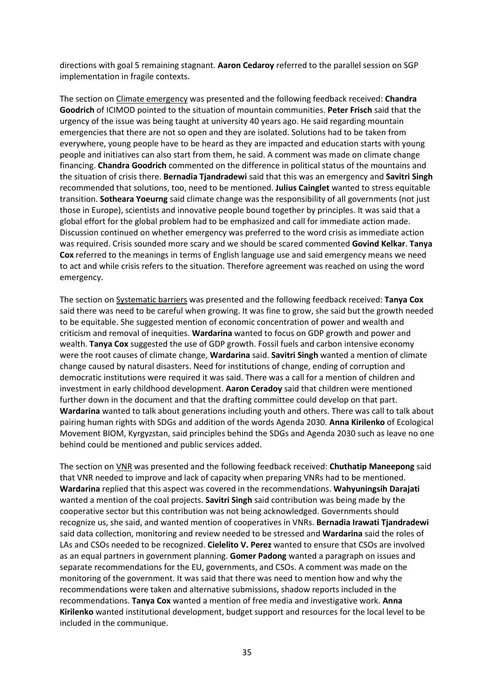directions with goal 5 remaining stagnant. **Aaron Cedaroy** referred to the parallel session on SGP implementation in fragile contexts.

The section on Climate emergency was presented and the following feedback received: **Chandra Goodrich** of ICIMOD pointed to the situation of mountain communities. **Peter Frisch** said that the urgency of the issue was being taught at university 40 years ago. He said regarding mountain emergencies that there are not so open and they are isolated. Solutions had to be taken from everywhere, young people have to be heard as they are impacted and education starts with young people and initiatives can also start from them, he said. A comment was made on climate change financing. **Chandra Goodrich** commented on the difference in political status of the mountains and the situation of crisis there. **Bernadia Tjandradewi** said that this was an emergency and **Savitri Singh** recommended that solutions, too, need to be mentioned. **Julius Cainglet** wanted to stress equitable transition. **Sotheara Yoeurng** said climate change was the responsibility of all governments (not just those in Europe), scientists and innovative people bound together by principles. It was said that a global effort for the global problem had to be emphasized and call for immediate action made. Discussion continued on whether emergency was preferred to the word crisis as immediate action was required. Crisis sounded more scary and we should be scared commented **Govind Kelkar**. **Tanya Cox** referred to the meanings in terms of English language use and said emergency means we need to act and while crisis refers to the situation. Therefore agreement was reached on using the word emergency.

The section on Systematic barriers was presented and the following feedback received: **Tanya Cox** said there was need to be careful when growing. It was fine to grow, she said but the growth needed to be equitable. She suggested mention of economic concentration of power and wealth and criticism and removal of inequities. **Wardarina** wanted to focus on GDP growth and power and wealth. **Tanya Cox** suggested the use of GDP growth. Fossil fuels and carbon intensive economy were the root causes of climate change, **Wardarina** said. **Savitri Singh** wanted a mention of climate change caused by natural disasters. Need for institutions of change, ending of corruption and democratic institutions were required it was said. There was a call for a mention of children and investment in early childhood development. **Aaron Ceradoy** said that children were mentioned further down in the document and that the drafting committee could develop on that part. **Wardarina** wanted to talk about generations including youth and others. There was call to talk about pairing human rights with SDGs and addition of the words Agenda 2030. **Anna Kirilenko** of Ecological Movement BIOM, Kyrgyzstan, said principles behind the SDGs and Agenda 2030 such as leave no one behind could be mentioned and public services added.

The section on VNR was presented and the following feedback received: **Chuthatip Maneepong** said that VNR needed to improve and lack of capacity when preparing VNRs had to be mentioned. **Wardarina** replied that this aspect was covered in the recommendations. **Wahyuningsih Darajati** wanted a mention of the coal projects. **Savitri Singh** said contribution was being made by the cooperative sector but this contribution was not being acknowledged. Governments should recognize us, she said, and wanted mention of cooperatives in VNRs. **Bernadia Irawati Tjandradewi** said data collection, monitoring and review needed to be stressed and **Wardarina** said the roles of LAs and CSOs needed to be recognized. **Cielelito V. Perez** wanted to ensure that CSOs are involved as an equal partners in government planning. **Gomer Padong** wanted a paragraph on issues and separate recommendations for the EU, governments, and CSOs. A comment was made on the monitoring of the government. It was said that there was need to mention how and why the recommendations were taken and alternative submissions, shadow reports included in the recommendations. **Tanya Cox** wanted a mention of free media and investigative work. **Anna Kirilenko** wanted institutional development, budget support and resources for the local level to be included in the communique.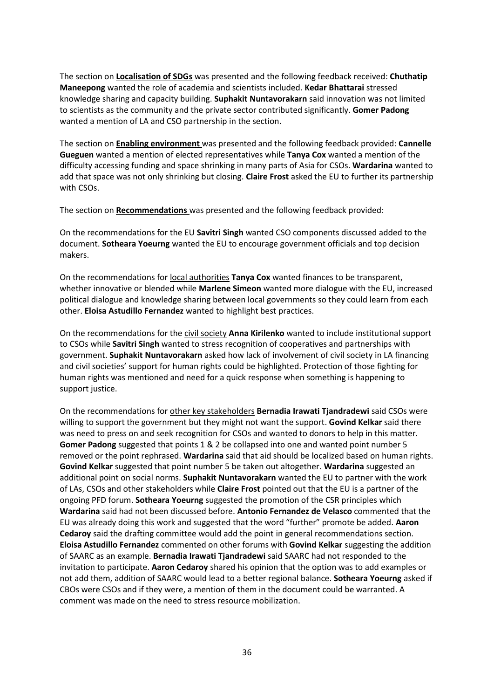The section on **Localisation of SDGs** was presented and the following feedback received: **Chuthatip Maneepong** wanted the role of academia and scientists included. **Kedar Bhattarai** stressed knowledge sharing and capacity building. **Suphakit Nuntavorakarn** said innovation was not limited to scientists as the community and the private sector contributed significantly. **Gomer Padong** wanted a mention of LA and CSO partnership in the section.

The section on **Enabling environment** was presented and the following feedback provided: **Cannelle Gueguen** wanted a mention of elected representatives while **Tanya Cox** wanted a mention of the difficulty accessing funding and space shrinking in many parts of Asia for CSOs. **Wardarina** wanted to add that space was not only shrinking but closing. **Claire Frost** asked the EU to further its partnership with CSOs.

The section on **Recommendations** was presented and the following feedback provided:

On the recommendations for the EU **Savitri Singh** wanted CSO components discussed added to the document. **Sotheara Yoeurng** wanted the EU to encourage government officials and top decision makers.

On the recommendations for local authorities **Tanya Cox** wanted finances to be transparent, whether innovative or blended while **Marlene Simeon** wanted more dialogue with the EU, increased political dialogue and knowledge sharing between local governments so they could learn from each other. **Eloisa Astudillo Fernandez** wanted to highlight best practices.

On the recommendations for the civil society **Anna Kirilenko** wanted to include institutional support to CSOs while **Savitri Singh** wanted to stress recognition of cooperatives and partnerships with government. **Suphakit Nuntavorakarn** asked how lack of involvement of civil society in LA financing and civil societies' support for human rights could be highlighted. Protection of those fighting for human rights was mentioned and need for a quick response when something is happening to support justice.

On the recommendations for other key stakeholders **Bernadia Irawati Tjandradewi** said CSOs were willing to support the government but they might not want the support. **Govind Kelkar** said there was need to press on and seek recognition for CSOs and wanted to donors to help in this matter. **Gomer Padong** suggested that points 1 & 2 be collapsed into one and wanted point number 5 removed or the point rephrased. **Wardarina** said that aid should be localized based on human rights. **Govind Kelkar** suggested that point number 5 be taken out altogether. **Wardarina** suggested an additional point on social norms. **Suphakit Nuntavorakarn** wanted the EU to partner with the work of LAs, CSOs and other stakeholders while **Claire Frost** pointed out that the EU is a partner of the ongoing PFD forum. **Sotheara Yoeurng** suggested the promotion of the CSR principles which **Wardarina** said had not been discussed before. **Antonio Fernandez de Velasco** commented that the EU was already doing this work and suggested that the word "further" promote be added. **Aaron Cedaroy** said the drafting committee would add the point in general recommendations section. **Eloisa Astudillo Fernandez** commented on other forums with **Govind Kelkar** suggesting the addition of SAARC as an example. **Bernadia Irawati Tjandradewi** said SAARC had not responded to the invitation to participate. **Aaron Cedaroy** shared his opinion that the option was to add examples or not add them, addition of SAARC would lead to a better regional balance. **Sotheara Yoeurng** asked if CBOs were CSOs and if they were, a mention of them in the document could be warranted. A comment was made on the need to stress resource mobilization.